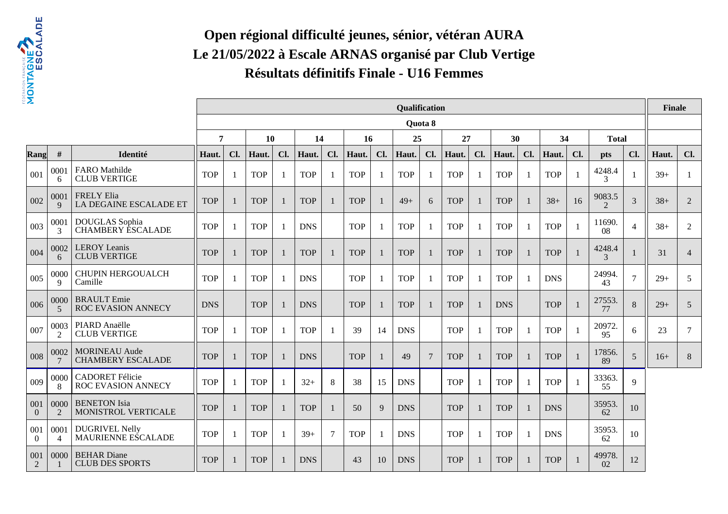

# **Open régional difficulté jeunes, sénior, vétéran AURA Le 21/05/2022 à Escale ARNAS organisé par Club VertigeRésultats définitifs Finale - U16 Femmes**

| $\mathbf{z}$            |                        |                                                  |                |     |            |                |            |        |            |                          | Qualification |         |            |                |            |     |            |              |                                       |                | <b>Finale</b> |                |
|-------------------------|------------------------|--------------------------------------------------|----------------|-----|------------|----------------|------------|--------|------------|--------------------------|---------------|---------|------------|----------------|------------|-----|------------|--------------|---------------------------------------|----------------|---------------|----------------|
|                         |                        |                                                  |                |     |            |                |            |        |            |                          |               | Quota 8 |            |                |            |     |            |              |                                       |                |               |                |
|                         |                        |                                                  | $\overline{7}$ |     | 10         |                | 14         |        | 16         |                          | 25            |         | 27         |                | 30         |     | 34         |              | <b>Total</b>                          |                |               |                |
| Rang                    | #                      | Identité                                         | Haut.          | Cl. | Haut.      | Cl.            | Haut.      | Cl.    | Haut.      | Cl.                      | Haut.         | Cl.     | Haut.      | Cl.            | Haut.      | Cl. | Haut.      | Cl.          | <b>pts</b>                            | Cl.            | Haut.         | Cl.            |
| 001                     | 0001<br>6              | FARO Mathilde<br><b>CLUB VERTIGE</b>             | <b>TOP</b>     | -1  | <b>TOP</b> | - 1            | <b>TOP</b> | -1     | <b>TOP</b> | $\overline{1}$           | <b>TOP</b>    |         | <b>TOP</b> | 1              | <b>TOP</b> |     | <b>TOP</b> | -1           | 4248.4<br>3                           |                | $39+$         | -1             |
| 002                     | 0001<br>$\mathbf Q$    | <b>FRELY Elia</b><br>LA DEGAINE ESCALADE ET      | <b>TOP</b>     | -1  | <b>TOP</b> |                | <b>TOP</b> |        | <b>TOP</b> | -1                       | $49+$         | 6       | <b>TOP</b> | $\mathbf{1}$   | <b>TOP</b> |     | $38+$      | 16           | 9083.5<br>$\mathcal{D}_{\mathcal{L}}$ | 3              | $38+$         | 2              |
| 003                     | 0001<br>3              | DOUGLAS Sophia<br><b>CHAMBERY ESCALADE</b>       | <b>TOP</b>     |     | <b>TOP</b> |                | <b>DNS</b> |        | <b>TOP</b> | $\overline{\phantom{a}}$ | <b>TOP</b>    |         | <b>TOP</b> | $\mathbf{1}$   | <b>TOP</b> |     | <b>TOP</b> | $\mathbf{1}$ | 11690.<br>08                          | $\overline{4}$ | $38+$         | 2              |
| 004                     | 0002<br>6              | <b>LEROY</b> Leanis<br><b>CLUB VERTIGE</b>       | <b>TOP</b>     | 1   | <b>TOP</b> |                | <b>TOP</b> |        | <b>TOP</b> | -1                       | <b>TOP</b>    |         | <b>TOP</b> | $\overline{1}$ | <b>TOP</b> |     | <b>TOP</b> | 1            | 4248.4<br>$\mathcal{E}$               |                | 31            | $\overline{4}$ |
| 005                     | 0000<br>9              | <b>CHUPIN HERGOUALCH</b><br>Camille              | <b>TOP</b>     |     | <b>TOP</b> |                | <b>DNS</b> |        | <b>TOP</b> | $\overline{1}$           | <b>TOP</b>    |         | <b>TOP</b> | -1             | <b>TOP</b> |     | <b>DNS</b> |              | 24994.<br>43                          | $\overline{7}$ | $29+$         | 5              |
| 006                     | 0000<br>5              | <b>BRAULT</b> Emie<br>ROC EVASION ANNECY         | <b>DNS</b>     |     | <b>TOP</b> |                | <b>DNS</b> |        | <b>TOP</b> | $\overline{1}$           | <b>TOP</b>    |         | <b>TOP</b> | $\mathbf{1}$   | <b>DNS</b> |     | <b>TOP</b> | $\mathbf{1}$ | 27553.<br>77                          | 8              | $29+$         | 5              |
| 007                     | 0003<br>$\mathcal{L}$  | PIARD Anaëlle<br><b>CLUB VERTIGE</b>             | <b>TOP</b>     |     | <b>TOP</b> | i.             | <b>TOP</b> |        | 39         | 14                       | <b>DNS</b>    |         | <b>TOP</b> | $\mathbf{1}$   | <b>TOP</b> |     | <b>TOP</b> | 1            | 20972.<br>95                          | 6              | 23            | $\overline{7}$ |
| 008                     | 0002                   | <b>MORINEAU Aude</b><br><b>CHAMBERY ESCALADE</b> | <b>TOP</b>     | -1  | <b>TOP</b> |                | <b>DNS</b> |        | <b>TOP</b> |                          | 49            | 7       | <b>TOP</b> | $\mathbf{1}$   | <b>TOP</b> |     | <b>TOP</b> | $\mathbf{1}$ | 17856.<br>89                          | 5              | $16+$         | 8              |
| 009                     | 0000<br>8              | <b>CADORET Félicie</b><br>ROC EVASION ANNECY     | <b>TOP</b>     | -1  | <b>TOP</b> | $\overline{1}$ | $32+$      | 8      | 38         | 15                       | <b>DNS</b>    |         | <b>TOP</b> | -1             | <b>TOP</b> |     | <b>TOP</b> | -1           | 33363.<br>55                          | $\mathbf Q$    |               |                |
| 001<br>$\theta$         | 0000<br>$\mathcal{L}$  | <b>BENETON</b> Isia<br>MONISTROL VERTICALE       | <b>TOP</b>     | -1  | <b>TOP</b> |                | <b>TOP</b> |        | 50         | 9                        | <b>DNS</b>    |         | <b>TOP</b> | $\mathbf{1}$   | <b>TOP</b> |     | <b>DNS</b> |              | 35953<br>62                           | 10             |               |                |
| 001<br>$\boldsymbol{0}$ | 0001<br>$\overline{4}$ | <b>DUGRIVEL Nelly</b><br>MAURIENNE ESCALADE      | <b>TOP</b>     | -1  | <b>TOP</b> | $\overline{1}$ | $39+$      | $\tau$ | <b>TOP</b> | $\overline{1}$           | <b>DNS</b>    |         | <b>TOP</b> | 1              | <b>TOP</b> |     | <b>DNS</b> |              | 35953<br>62                           | 10             |               |                |
| 001<br>2                | 0000                   | <b>BEHAR Diane</b><br><b>CLUB DES SPORTS</b>     | <b>TOP</b>     |     | <b>TOP</b> |                | <b>DNS</b> |        | 43         | 10                       | <b>DNS</b>    |         | <b>TOP</b> | $\mathbf{1}$   | <b>TOP</b> |     | <b>TOP</b> |              | 49978.<br>02                          | 12             |               |                |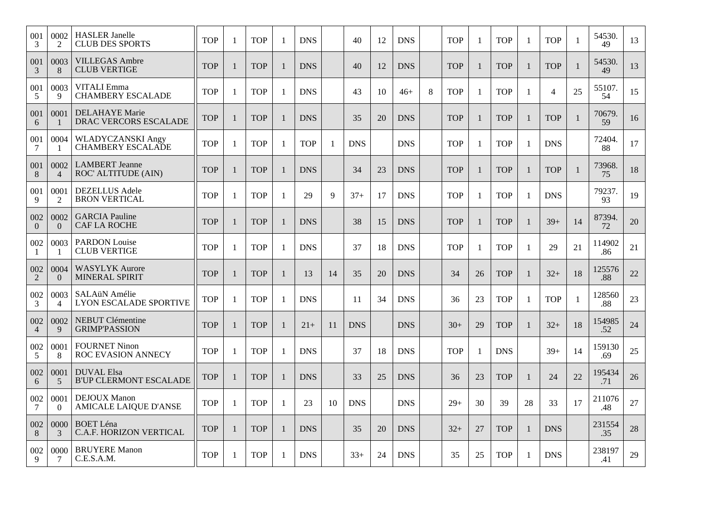| 001<br>3              | 0002<br>2              | <b>HASLER</b> Janelle<br><b>CLUB DES SPORTS</b>      | <b>TOP</b> | 1            | <b>TOP</b> | 1            | <b>DNS</b> |              | 40         | 12 | <b>DNS</b> |   | <b>TOP</b> |              | <b>TOP</b> | -1           | <b>TOP</b>               |                | 54530.<br>49  | 13 |
|-----------------------|------------------------|------------------------------------------------------|------------|--------------|------------|--------------|------------|--------------|------------|----|------------|---|------------|--------------|------------|--------------|--------------------------|----------------|---------------|----|
| 001<br>3              | 0003<br>8              | <b>VILLEGAS Ambre</b><br><b>CLUB VERTIGE</b>         | <b>TOP</b> | $\mathbf{1}$ | <b>TOP</b> | $\mathbf{1}$ | <b>DNS</b> |              | 40         | 12 | <b>DNS</b> |   | <b>TOP</b> | $\mathbf{1}$ | <b>TOP</b> | 1            | <b>TOP</b>               | $\mathbf{1}$   | 54530.<br>49  | 13 |
| 001<br>5              | 0003<br>9              | <b>VITALI</b> Emma<br><b>CHAMBERY ESCALADE</b>       | <b>TOP</b> | $\mathbf{1}$ | <b>TOP</b> | $\mathbf{1}$ | <b>DNS</b> |              | 43         | 10 | $46+$      | 8 | <b>TOP</b> | 1            | <b>TOP</b> | 1            | $\overline{\mathcal{L}}$ | 25             | 55107.<br>54  | 15 |
| 001<br>6              | 0001                   | <b>DELAHAYE</b> Marie<br>DRAC VERCORS ESCALADE       | <b>TOP</b> | $\mathbf{1}$ | <b>TOP</b> | $\mathbf{1}$ | <b>DNS</b> |              | 35         | 20 | <b>DNS</b> |   | <b>TOP</b> | -1           | <b>TOP</b> | $\mathbf{1}$ | <b>TOP</b>               | $\overline{1}$ | 70679<br>59   | 16 |
| 001<br>7              | 0004                   | <b>WLADYCZANSKI Angy</b><br><b>CHAMBERY ESCALADE</b> | <b>TOP</b> | -1           | <b>TOP</b> | $\mathbf{1}$ | <b>TOP</b> | $\mathbf{1}$ | <b>DNS</b> |    | <b>DNS</b> |   | <b>TOP</b> | 1            | <b>TOP</b> | $\mathbf{1}$ | <b>DNS</b>               |                | 72404.<br>88  | 17 |
| 001<br>8              | 0002<br>$\overline{4}$ | <b>LAMBERT</b> Jeanne<br>ROC' ALTITUDE (AIN)         | <b>TOP</b> | 1            | <b>TOP</b> | $\mathbf{1}$ | <b>DNS</b> |              | 34         | 23 | <b>DNS</b> |   | <b>TOP</b> |              | <b>TOP</b> |              | <b>TOP</b>               | $\mathbf{1}$   | 73968.<br>75  | 18 |
| 001<br>9              | 0001<br>2              | <b>DEZELLUS</b> Adele<br><b>BRON VERTICAL</b>        | <b>TOP</b> | 1            | <b>TOP</b> | $\mathbf{1}$ | 29         | 9            | $37+$      | 17 | <b>DNS</b> |   | <b>TOP</b> | 1            | <b>TOP</b> | 1            | <b>DNS</b>               |                | 79237.<br>93  | 19 |
| 002<br>$\Omega$       | 0002<br>$\overline{0}$ | <b>GARCIA Pauline</b><br><b>CAF LA ROCHE</b>         | <b>TOP</b> | $\mathbf{1}$ | <b>TOP</b> | 1            | <b>DNS</b> |              | 38         | 15 | <b>DNS</b> |   | <b>TOP</b> | $\mathbf{1}$ | <b>TOP</b> | 1            | $39+$                    | 14             | 87394.<br>72  | 20 |
| 002<br>-1             | 0003                   | <b>PARDON Louise</b><br><b>CLUB VERTIGE</b>          | <b>TOP</b> | 1            | <b>TOP</b> | $\mathbf{1}$ | <b>DNS</b> |              | 37         | 18 | <b>DNS</b> |   | <b>TOP</b> | 1            | <b>TOP</b> | -1           | 29                       | 21             | 114902<br>.86 | 21 |
| 002<br>2              | 0004<br>$\Omega$       | <b>WASYLYK Aurore</b><br><b>MINERAL SPIRIT</b>       | <b>TOP</b> | 1            | <b>TOP</b> | $\mathbf{1}$ | 13         | 14           | 35         | 20 | <b>DNS</b> |   | 34         | 26           | <b>TOP</b> | $\mathbf{1}$ | $32+$                    | 18             | 125576<br>.88 | 22 |
| 002<br>3              | 0003<br>$\overline{4}$ | SALAüN Amélie<br><b>LYON ESCALADE SPORTIVE</b>       | <b>TOP</b> | 1            | <b>TOP</b> | $\mathbf{1}$ | <b>DNS</b> |              | 11         | 34 | <b>DNS</b> |   | 36         | 23           | <b>TOP</b> | $\mathbf{1}$ | <b>TOP</b>               | -1             | 128560<br>.88 | 23 |
| 002<br>$\overline{4}$ | 0002<br>9              | <b>NEBUT Clémentine</b><br><b>GRIMP'PASSION</b>      | <b>TOP</b> | $\mathbf{1}$ | <b>TOP</b> | $\mathbf{1}$ | $21+$      | 11           | <b>DNS</b> |    | <b>DNS</b> |   | $30+$      | 29           | <b>TOP</b> | $\mathbf{1}$ | $32+$                    | 18             | 154985<br>.52 | 24 |
| 002<br>5              | 0001<br>8              | <b>FOURNET Ninon</b><br>ROC EVASION ANNECY           | <b>TOP</b> | $\mathbf{1}$ | <b>TOP</b> | $\mathbf{1}$ | <b>DNS</b> |              | 37         | 18 | <b>DNS</b> |   | <b>TOP</b> | 1            | <b>DNS</b> |              | $39+$                    | 14             | 159130<br>.69 | 25 |
| 002<br>6              | 0001<br>5              | <b>DUVAL Elsa</b><br><b>B'UP CLERMONT ESCALADE</b>   | <b>TOP</b> | 1            | <b>TOP</b> | $\mathbf{1}$ | <b>DNS</b> |              | 33         | 25 | <b>DNS</b> |   | 36         | 23           | <b>TOP</b> | $\mathbf{1}$ | 24                       | 22             | 195434<br>.71 | 26 |
| 002<br>7              | 0001<br>$\Omega$       | <b>DEJOUX</b> Manon<br><b>AMICALE LAIQUE D'ANSE</b>  | <b>TOP</b> | -1           | <b>TOP</b> | $\mathbf{1}$ | 23         | 10           | <b>DNS</b> |    | <b>DNS</b> |   | $29+$      | 30           | 39         | 28           | 33                       | 17             | 211076<br>.48 | 27 |
| 002<br>8              | 0000<br>3              | <b>BOET</b> Léna<br>C.A.F. HORIZON VERTICAL          | <b>TOP</b> | $\mathbf{1}$ | <b>TOP</b> | $\mathbf{1}$ | <b>DNS</b> |              | 35         | 20 | <b>DNS</b> |   | $32+$      | 27           | <b>TOP</b> | 1            | <b>DNS</b>               |                | 231554<br>.35 | 28 |
| 002<br>9              | 0000<br>7              | <b>BRUYERE</b> Manon<br>C.E.S.A.M.                   | <b>TOP</b> | -1           | <b>TOP</b> | $\mathbf{1}$ | <b>DNS</b> |              | $33+$      | 24 | <b>DNS</b> |   | 35         | 25           | <b>TOP</b> | -1           | <b>DNS</b>               |                | 238197<br>.41 | 29 |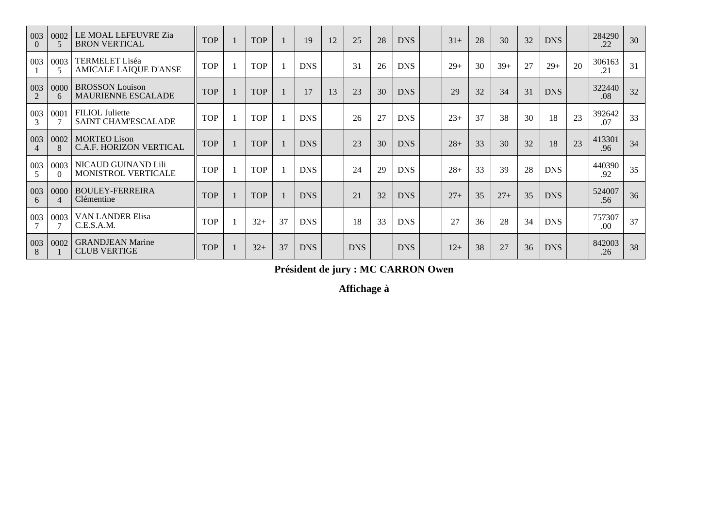| 003<br>$\Omega$       | 0002<br>5        | LE MOAL LEFEUVRE Zia<br><b>BRON VERTICAL</b>          | <b>TOP</b> | <b>TOP</b> |    | 19         | 12 | 25         | 28 | <b>DNS</b> | $31+$ | 28 | 30    | 32 | <b>DNS</b> |    | 284290<br>.22  | 30 |
|-----------------------|------------------|-------------------------------------------------------|------------|------------|----|------------|----|------------|----|------------|-------|----|-------|----|------------|----|----------------|----|
| 003                   | 0003             | <b>TERMELET Liséa</b><br><b>AMICALE LAIQUE D'ANSE</b> | <b>TOP</b> | <b>TOP</b> |    | <b>DNS</b> |    | 31         | 26 | <b>DNS</b> | $29+$ | 30 | $39+$ | 27 | $29+$      | 20 | 306163<br>.21  | 31 |
| 003<br>$\mathcal{L}$  | 0000<br>6        | <b>BROSSON</b> Louison<br><b>MAURIENNE ESCALADE</b>   | <b>TOP</b> | <b>TOP</b> |    | 17         | 13 | 23         | 30 | <b>DNS</b> | 29    | 32 | 34    | 31 | <b>DNS</b> |    | 322440<br>.08  | 32 |
| 003<br>3              | 0001             | <b>FILIOL</b> Juliette<br><b>SAINT CHAM'ESCALADE</b>  | <b>TOP</b> | <b>TOP</b> |    | <b>DNS</b> |    | 26         | 27 | <b>DNS</b> | $23+$ | 37 | 38    | 30 | 18         | 23 | 392642<br>.07  | 33 |
| 003<br>$\overline{4}$ | 0002<br>8        | <b>MORTEO Lison</b><br>C.A.F. HORIZON VERTICAL        | <b>TOP</b> | <b>TOP</b> |    | <b>DNS</b> |    | 23         | 30 | <b>DNS</b> | $28+$ | 33 | 30    | 32 | 18         | 23 | 413301<br>.96  | 34 |
| 003<br>5              | 0003<br>$\Omega$ | NICAUD GUINAND Lili<br><b>MONISTROL VERTICALE</b>     | <b>TOP</b> | <b>TOP</b> |    | <b>DNS</b> |    | 24         | 29 | <b>DNS</b> | $28+$ | 33 | 39    | 28 | <b>DNS</b> |    | 440390<br>.92  | 35 |
| 003<br>6              | 0000             | <b>BOULEY-FERREIRA</b><br>Clémentine                  | <b>TOP</b> | <b>TOP</b> |    | <b>DNS</b> |    | 21         | 32 | <b>DNS</b> | $27+$ | 35 | $27+$ | 35 | <b>DNS</b> |    | 524007<br>.56  | 36 |
| 003                   | 0003             | <b>VAN LANDER Elisa</b><br>C.E.S.A.M.                 | <b>TOP</b> | $32+$      | 37 | <b>DNS</b> |    | 18         | 33 | <b>DNS</b> | 27    | 36 | 28    | 34 | <b>DNS</b> |    | 757307<br>.00. | 37 |
| 003<br>8              | 0002             | <b>GRANDJEAN Marine</b><br><b>CLUB VERTIGE</b>        | <b>TOP</b> | $32+$      | 37 | <b>DNS</b> |    | <b>DNS</b> |    | <b>DNS</b> | $12+$ | 38 | 27    | 36 | <b>DNS</b> |    | 842003<br>.26  | 38 |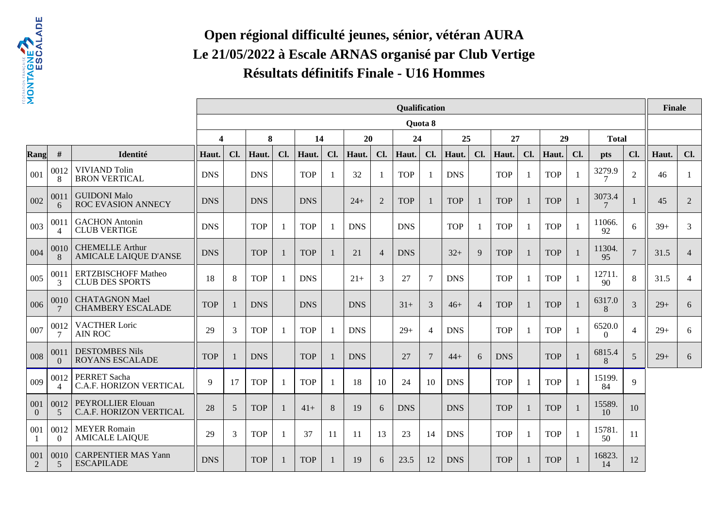

# **Open régional difficulté jeunes, sénior, vétéran AURA Le 21/05/2022 à Escale ARNAS organisé par Club VertigeRésultats définitifs Finale - U16 Hommes**

| 2               |                                     |                                                        |                         |     |            |     |            |     |               |                | Qualification |                |            |                |            |     |            |              |                          |                | Finale |                |
|-----------------|-------------------------------------|--------------------------------------------------------|-------------------------|-----|------------|-----|------------|-----|---------------|----------------|---------------|----------------|------------|----------------|------------|-----|------------|--------------|--------------------------|----------------|--------|----------------|
|                 |                                     |                                                        |                         |     |            |     |            |     |               |                |               | Quota 8        |            |                |            |     |            |              |                          |                |        |                |
|                 |                                     |                                                        | $\overline{\mathbf{4}}$ |     | 8          |     | 14         |     | 20            |                | 24            |                | 25         |                | 27         |     | 29         |              | <b>Total</b>             |                |        |                |
| Rang            | #                                   | Identité                                               | Haut.                   | Cl. | Haut.      | Cl. | Haut.      | Cl. | Haut.         | Cl.            | Haut.         | Cl.            | Haut.      | Cl.            | Haut.      | Cl. | Haut.      | Cl.          | <b>pts</b>               | Cl.            | Haut.  | Cl.            |
| 001             | 0012<br>8                           | <b>VIVIAND Tolin</b><br><b>BRON VERTICAL</b>           | <b>DNS</b>              |     | <b>DNS</b> |     | <b>TOP</b> |     | 32            | $\mathbf{1}$   | <b>TOP</b>    |                | <b>DNS</b> |                | <b>TOP</b> |     | <b>TOP</b> | -1           | 3279.9<br>7              | $\overline{2}$ | 46     | -1             |
| 002             | 001<br>6                            | <b>GUIDONI Malo</b><br><b>ROC EVASION ANNECY</b>       | <b>DNS</b>              |     | <b>DNS</b> |     | <b>DNS</b> |     | $24+$         | $\overline{2}$ | <b>TOP</b>    |                | <b>TOP</b> | $\overline{1}$ | <b>TOP</b> |     | <b>TOP</b> | $\mathbf{1}$ | 3073.4<br>$\overline{7}$ |                | 45     | $\overline{2}$ |
| 003             | 0011<br>$\Delta$                    | <b>GACHON</b> Antonin<br><b>CLUB VERTIGE</b>           | <b>DNS</b>              |     | <b>TOP</b> |     | <b>TOP</b> |     | <b>DNS</b>    |                | <b>DNS</b>    |                | <b>TOP</b> | -1             | <b>TOP</b> |     | <b>TOP</b> | -1           | 11066.<br>92             | 6              | $39+$  | 3              |
| 004             | 0010<br>8                           | <b>CHEMELLE Arthur</b><br><b>AMICALE LAIQUE D'ANSE</b> | <b>DNS</b>              |     | <b>TOP</b> |     | <b>TOP</b> |     | 21            | $\overline{4}$ | <b>DNS</b>    |                | $32+$      | 9              | <b>TOP</b> |     | <b>TOP</b> | $\mathbf{1}$ | 11304.<br>95             | $\overline{7}$ | 31.5   | $\overline{4}$ |
| 005             | 0011<br>3                           | <b>ERTZBISCHOFF Matheo</b><br><b>CLUB DES SPORTS</b>   | 18                      | 8   | <b>TOP</b> |     | <b>DNS</b> |     | $21+$         | 3              | 27            | 7              | <b>DNS</b> |                | <b>TOP</b> |     | <b>TOP</b> | $\mathbf{1}$ | 12711<br>90              | 8              | 31.5   | $\overline{4}$ |
| 006             | 0010                                | <b>CHATAGNON Mael</b><br><b>CHAMBERY ESCALADE</b>      | <b>TOP</b>              |     | <b>DNS</b> |     | <b>DNS</b> |     | <b>DNS</b>    |                | $31+$         | 3              | $46+$      | $\overline{4}$ | <b>TOP</b> |     | <b>TOP</b> | $\mathbf{1}$ | 6317.0<br>8              | $\overline{3}$ | $29+$  | 6              |
| 007             | 0012<br>7                           | <b>VACTHER Loric</b><br><b>AIN ROC</b>                 | 29                      | 3   | <b>TOP</b> |     | <b>TOP</b> |     | <b>DNS</b>    |                | $29+$         | $\overline{A}$ | <b>DNS</b> |                | <b>TOP</b> |     | <b>TOP</b> | -1           | 6520.0<br>$\Omega$       | $\overline{4}$ | $29+$  | 6              |
| 008             | 0011<br>$\Omega$                    | <b>DESTOMBES Nils</b><br><b>ROYANS ESCALADE</b>        | <b>TOP</b>              |     | <b>DNS</b> |     | <b>TOP</b> |     | <b>DNS</b>    |                | 27            | 7              | $44+$      | 6              | <b>DNS</b> |     | <b>TOP</b> | 1            | 6815.4<br>8              | 5              | $29+$  | 6              |
| 009             | 0012<br>$\boldsymbol{\vartriangle}$ | PERRET Sacha<br>C.A.F. HORIZON VERTICAL                | 9                       | 17  | <b>TOP</b> | - 1 | <b>TOP</b> |     | 18            | 10             | 24            | 10             | <b>DNS</b> |                | <b>TOP</b> |     | <b>TOP</b> | $\mathbf{1}$ | 15199.<br>84             | $\mathbf Q$    |        |                |
| 001<br>$\Omega$ | 0012<br>5                           | PEYROLLIER Elouan<br>C.A.F. HORIZON VERTICAL           | 28                      | 5   | <b>TOP</b> |     | $41+$      | 8   | 19            | 6              | <b>DNS</b>    |                | <b>DNS</b> |                | <b>TOP</b> |     | <b>TOP</b> | $\mathbf{1}$ | 15589.<br>10             | 10             |        |                |
| 001             | 0012<br>$\theta$                    | <b>MEYER Romain</b><br><b>AMICALE LAIQUE</b>           | 29                      | 3   | <b>TOP</b> | -1  | 37         | 11  | <sup>11</sup> | 13             | 23            | 14             | <b>DNS</b> |                | <b>TOP</b> |     | <b>TOP</b> | -1           | 15781<br>50              | 11             |        |                |
| 001<br>2        | 0010<br>5                           | <b>CARPENTIER MAS Yann</b><br><b>ESCAPILADE</b>        | <b>DNS</b>              |     | <b>TOP</b> |     | <b>TOP</b> |     | 19            | 6              | 23.5          | 12             | <b>DNS</b> |                | <b>TOP</b> |     | <b>TOP</b> | $\mathbf{1}$ | 16823.<br>14             | 12             |        |                |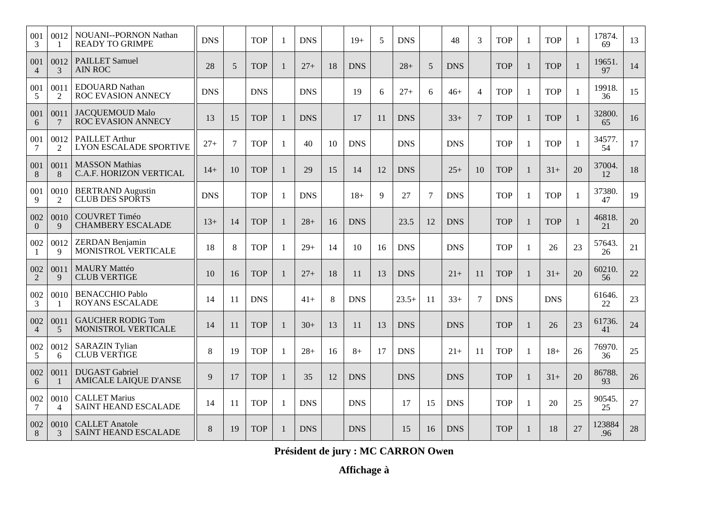| 001<br>3              | 0012                   | NOUANI--PORNON Nathan<br><b>READY TO GRIMPE</b>        | <b>DNS</b> |        | <b>TOP</b> | 1            | <b>DNS</b> |    | $19+$      | 5  | <b>DNS</b> |    | 48         | 3              | <b>TOP</b> |    | <b>TOP</b> |              | 17874.<br>69  | 13 |
|-----------------------|------------------------|--------------------------------------------------------|------------|--------|------------|--------------|------------|----|------------|----|------------|----|------------|----------------|------------|----|------------|--------------|---------------|----|
| 001<br>$\overline{4}$ | 0012<br>3              | <b>PAILLET Samuel</b><br>AIN ROC                       | 28         | 5      | <b>TOP</b> | $\mathbf{1}$ | $27 +$     | 18 | <b>DNS</b> |    | $28+$      | 5  | <b>DNS</b> |                | <b>TOP</b> |    | <b>TOP</b> |              | 19651.<br>97  | 14 |
| 001<br>5              | 0011<br>2              | <b>EDOUARD Nathan</b><br>ROC EVASION ANNECY            | <b>DNS</b> |        | <b>DNS</b> |              | <b>DNS</b> |    | 19         | 6  | $27+$      | 6  | $46+$      | $\overline{4}$ | <b>TOP</b> | -1 | <b>TOP</b> | -1           | 19918.<br>36  | 15 |
| 001<br>6              | 0011<br>7              | <b>JACQUEMOUD Malo</b><br>ROC EVASION ANNECY           | 13         | 15     | <b>TOP</b> | $\mathbf{1}$ | <b>DNS</b> |    | 17         | 11 | <b>DNS</b> |    | $33+$      | $\tau$         | <b>TOP</b> |    | <b>TOP</b> |              | 32800.<br>65  | 16 |
| 001<br>7              | 0012<br>2              | <b>PAILLET Arthur</b><br><b>LYON ESCALADE SPORTIVE</b> | $27+$      | $\tau$ | <b>TOP</b> | $\mathbf{1}$ | 40         | 10 | <b>DNS</b> |    | <b>DNS</b> |    | <b>DNS</b> |                | <b>TOP</b> |    | <b>TOP</b> |              | 34577.<br>54  | 17 |
| 001<br>8              | 0011<br>8              | <b>MASSON</b> Mathias<br>C.A.F. HORIZON VERTICAL       | $14+$      | 10     | <b>TOP</b> | 1            | 29         | 15 | 14         | 12 | <b>DNS</b> |    | $25+$      | 10             | <b>TOP</b> | 1  | $31+$      | 20           | 37004.<br>12  | 18 |
| 001<br>9              | 0010<br>2              | <b>BERTRAND</b> Augustin<br><b>CLUB DES SPORTS</b>     | <b>DNS</b> |        | <b>TOP</b> | $\mathbf{1}$ | <b>DNS</b> |    | $18+$      | 9  | 27         | 7  | <b>DNS</b> |                | <b>TOP</b> | -1 | <b>TOP</b> | -1           | 37380.<br>47  | 19 |
| 002<br>$\theta$       | 0010<br>9              | COUVRET Timéo<br><b>CHAMBERY ESCALADE</b>              | $13+$      | 14     | <b>TOP</b> | $\mathbf{1}$ | $28+$      | 16 | <b>DNS</b> |    | 23.5       | 12 | <b>DNS</b> |                | <b>TOP</b> |    | <b>TOP</b> | $\mathbf{1}$ | 46818.<br>21  | 20 |
| 002<br>$\mathbf{1}$   | 0012<br>9              | <b>ZERDAN</b> Benjamin<br>MONISTROL VERTICALE          | 18         | 8      | <b>TOP</b> | $\mathbf{1}$ | $29+$      | 14 | 10         | 16 | <b>DNS</b> |    | <b>DNS</b> |                | <b>TOP</b> | -1 | 26         | 23           | 57643.<br>26  | 21 |
| 002<br>2              | 0011<br>9              | <b>MAURY Mattéo</b><br><b>CLUB VERTIGE</b>             | 10         | 16     | <b>TOP</b> | $\mathbf{1}$ | $27+$      | 18 | 11         | 13 | <b>DNS</b> |    | $21+$      | 11             | <b>TOP</b> |    | $31+$      | 20           | 60210.<br>56  | 22 |
| 002<br>3              | 0010                   | <b>BENACCHIO Pablo</b><br>ROYANS ESCALADE              | 14         | 11     | <b>DNS</b> |              | $41+$      | 8  | <b>DNS</b> |    | $23.5+$    | 11 | $33+$      | 7              | <b>DNS</b> |    | <b>DNS</b> |              | 61646.<br>22  | 23 |
| 002<br>$\overline{4}$ | 0011<br>5              | <b>GAUCHER RODIG Tom</b><br>MONISTROL VERTICALE        | 14         | 11     | <b>TOP</b> | $\mathbf{1}$ | $30+$      | 13 | 11         | 13 | <b>DNS</b> |    | <b>DNS</b> |                | <b>TOP</b> |    | 26         | 23           | 61736.<br>41  | 24 |
| 002<br>5              | 0012<br>6              | <b>SARAZIN Tylian</b><br><b>CLUB VERTIGE</b>           | 8          | 19     | <b>TOP</b> | $\mathbf{1}$ | $28+$      | 16 | $8+$       | 17 | <b>DNS</b> |    | $21+$      | 11             | <b>TOP</b> | -1 | $18+$      | 26           | 76970.<br>36  | 25 |
| 002<br>6              | 0011                   | <b>DUGAST</b> Gabriel<br><b>AMICALE LAIQUE D'ANSE</b>  | 9          | 17     | <b>TOP</b> | $\mathbf{1}$ | 35         | 12 | <b>DNS</b> |    | <b>DNS</b> |    | <b>DNS</b> |                | <b>TOP</b> |    | $31+$      | 20           | 86788.<br>93  | 26 |
| 002<br>7              | 0010<br>$\overline{4}$ | <b>CALLET Marius</b><br>SAINT HEAND ESCALADE           | 14         | 11     | <b>TOP</b> | $\mathbf{1}$ | <b>DNS</b> |    | <b>DNS</b> |    | 17         | 15 | <b>DNS</b> |                | <b>TOP</b> | -1 | 20         | 25           | 90545.<br>25  | 27 |
| 002<br>8              | 0010<br>3              | <b>CALLET</b> Anatole<br><b>SAINT HEAND ESCALADE</b>   | 8          | 19     | <b>TOP</b> | $\mathbf{1}$ | <b>DNS</b> |    | <b>DNS</b> |    | 15         | 16 | <b>DNS</b> |                | <b>TOP</b> | 1  | 18         | 27           | 123884<br>.96 | 28 |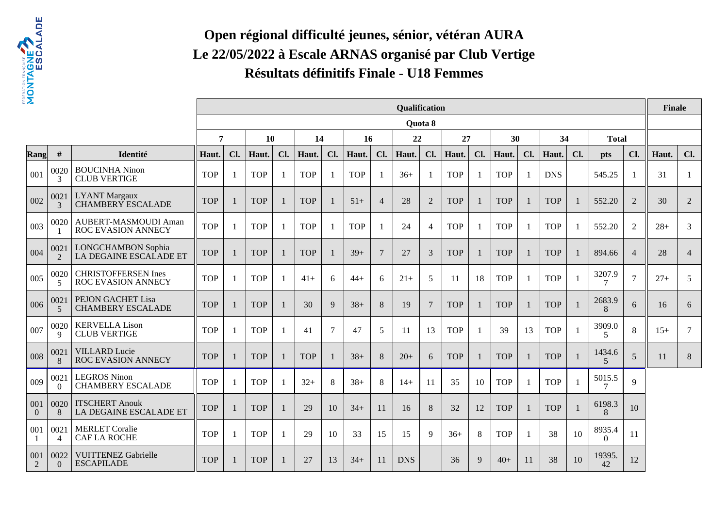

# **Open régional difficulté jeunes, sénior, vétéran AURA Le 22/05/2022 à Escale ARNAS organisé par Club VertigeRésultats définitifs Finale - U18 Femmes**

| 2                     |                        |                                                         |            |     |            |                |            |        |            |                          | Qualification |                |            |                |            |     |            |              |                          |                 | <b>Finale</b> |                |
|-----------------------|------------------------|---------------------------------------------------------|------------|-----|------------|----------------|------------|--------|------------|--------------------------|---------------|----------------|------------|----------------|------------|-----|------------|--------------|--------------------------|-----------------|---------------|----------------|
|                       |                        |                                                         |            |     |            |                |            |        |            |                          |               | <b>Ouota 8</b> |            |                |            |     |            |              |                          |                 |               |                |
|                       |                        |                                                         | 7          |     | 10         |                | 14         |        | 16         |                          | 22            |                | 27         |                | 30         |     | 34         |              | <b>Total</b>             |                 |               |                |
| Rang                  | #                      | Identité                                                | Haut.      | Cl. | Haut.      | Cl.            | Haut.      | Cl.    | Haut.      | Cl.                      | Haut.         | Cl.            | Haut.      | Cl.            | Haut.      | Cl. | Haut.      | Cl.          | <b>pts</b>               | Cl.             | Haut.         | Cl.            |
| 001                   | 0020<br>3              | <b>BOUCINHA Ninon</b><br><b>CLUB VERTIGE</b>            | <b>TOP</b> |     | <b>TOP</b> | $\overline{1}$ | <b>TOP</b> |        | <b>TOP</b> | -1                       | $36+$         |                | <b>TOP</b> | $\mathbf{1}$   | <b>TOP</b> |     | <b>DNS</b> |              | 545.25                   |                 | 31            | -1             |
| 002                   | 0021<br>$\mathcal{E}$  | <b>LYANT</b> Margaux<br><b>CHAMBERY ESCALADE</b>        | <b>TOP</b> |     | <b>TOP</b> |                | <b>TOP</b> |        | $51+$      | $\overline{4}$           | 28            | 2              | <b>TOP</b> | $\mathbf{1}$   | <b>TOP</b> |     | <b>TOP</b> |              | 552.20                   | 2               | 30            | $\overline{2}$ |
| 003                   | 0020                   | AUBERT-MASMOUDI Aman<br><b>ROC EVASION ANNECY</b>       | <b>TOP</b> |     | <b>TOP</b> | $\mathbf{1}$   | <b>TOP</b> |        | <b>TOP</b> | $\overline{\phantom{0}}$ | 24            | $\overline{4}$ | <b>TOP</b> | $\overline{1}$ | <b>TOP</b> |     | <b>TOP</b> |              | 552.20                   | 2               | $28+$         | 3              |
| 004                   | 0021<br>$\mathcal{P}$  | <b>LONGCHAMBON Sophia</b><br>LA DEGAINE ESCALADE ET     | <b>TOP</b> |     | <b>TOP</b> |                | <b>TOP</b> |        | $39+$      | $\overline{7}$           | 27            | 3              | <b>TOP</b> | $\mathbf{1}$   | <b>TOP</b> |     | <b>TOP</b> | 1            | 894.66                   | $\overline{4}$  | 28            | $\overline{4}$ |
| 005                   | 0020<br>5              | <b>CHRISTOFFERSEN Ines</b><br><b>ROC EVASION ANNECY</b> | <b>TOP</b> |     | <b>TOP</b> | $\mathbf{1}$   | $41+$      | 6      | $44+$      | 6                        | $21+$         | 5              | 11         | 18             | <b>TOP</b> |     | <b>TOP</b> |              | 3207.9                   | $7\phantom{.0}$ | $27+$         | 5              |
| 006                   | 002<br>5               | PEJON GACHET Lisa<br><b>CHAMBERY ESCALADE</b>           | <b>TOP</b> |     | <b>TOP</b> |                | 30         | 9      | $38+$      | 8                        | 19            | 7              | <b>TOP</b> | $\mathbf{1}$   | <b>TOP</b> |     | <b>TOP</b> | $\mathbf{1}$ | 2683.9<br>8              | 6               | 16            | 6              |
| 007                   | 0020<br>$\mathbf Q$    | <b>KERVELLA Lison</b><br><b>CLUB VERTIGE</b>            | <b>TOP</b> |     | <b>TOP</b> |                | 41         | $\tau$ | 47         | 5                        | 11            | 13             | <b>TOP</b> | $\overline{1}$ | 39         | 13  | <b>TOP</b> |              | 3909.0<br>$\overline{5}$ | 8               | $15+$         | $\tau$         |
| 008                   | 0021<br>8              | <b>VILLARD</b> Lucie<br><b>ROC EVASION ANNECY</b>       | <b>TOP</b> |     | <b>TOP</b> |                | <b>TOP</b> |        | $38+$      | 8                        | $20+$         | 6              | <b>TOP</b> | $\mathbf{1}$   | <b>TOP</b> |     | <b>TOP</b> | 1            | 1434.6<br>5              | 5               | 11            | 8              |
| 009                   | 0021<br>$\Omega$       | <b>LEGROS Ninon</b><br><b>CHAMBERY ESCALADE</b>         | <b>TOP</b> |     | <b>TOP</b> | -1             | $32+$      | 8      | $38+$      | 8                        | $14+$         | 11             | 35         | 10             | <b>TOP</b> | -1  | <b>TOP</b> | -1           | 5015.5                   | $\mathbf Q$     |               |                |
| 001<br>$\overline{0}$ | 0020<br>8              | <b>ITSCHERT Anouk</b><br>LA DEGAINE ESCALADE ET         | <b>TOP</b> |     | <b>TOP</b> |                | 29         | 10     | $34+$      | 11                       | 16            | 8              | 32         | 12             | <b>TOP</b> |     | <b>TOP</b> | -1           | 6198.3<br>8              | 10              |               |                |
| 001                   | 0021<br>$\overline{4}$ | <b>MERLET</b> Coralie<br><b>CAFLA ROCHE</b>             | <b>TOP</b> |     | <b>TOP</b> | $\mathbf{1}$   | 29         | 10     | 33         | 15                       | 15            | 9              | $36+$      | 8              | <b>TOP</b> | -1  | 38         | 10           | 8935.4<br>$\Omega$       | 11              |               |                |
| 001<br>2              | 0022<br>$\Omega$       | <b>VUITTENEZ Gabrielle</b><br><b>ESCAPILADE</b>         | <b>TOP</b> |     | <b>TOP</b> |                | 27         | 13     | $34+$      | 11                       | <b>DNS</b>    |                | 36         | 9              | $40+$      | 11  | 38         | 10           | 19395.<br>42             | 12              |               |                |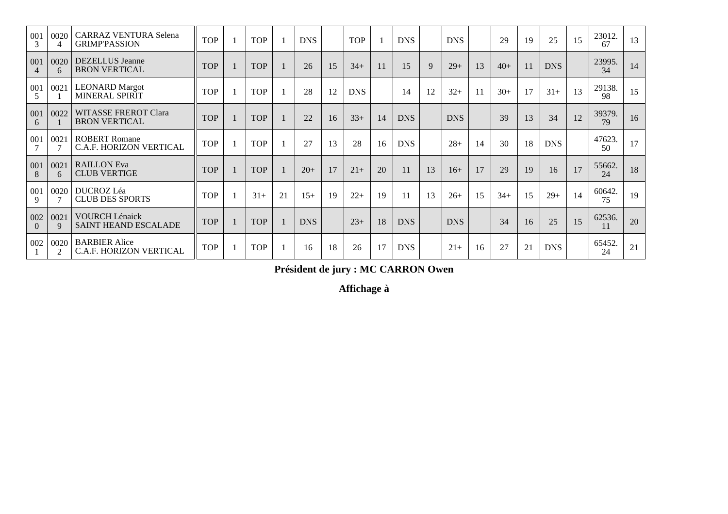| 001<br>3                | 0020      | <b>CARRAZ VENTURA Selena</b><br><b>GRIMP'PASSION</b>   | <b>TOP</b> | <b>TOP</b> |    | <b>DNS</b> |    | <b>TOP</b> |    | <b>DNS</b> |    | <b>DNS</b> |    | 29    | 19             | 25         | 15 | 23012.<br>67 | 13 |
|-------------------------|-----------|--------------------------------------------------------|------------|------------|----|------------|----|------------|----|------------|----|------------|----|-------|----------------|------------|----|--------------|----|
| 001<br>$\overline{4}$   | 0020<br>6 | <b>DEZELLUS</b> Jeanne<br><b>BRON VERTICAL</b>         | <b>TOP</b> | <b>TOP</b> |    | 26         | 15 | $34+$      |    | 15         | 9  | $29+$      | 13 | $40+$ | 11             | <b>DNS</b> |    | 23995.<br>34 | 14 |
| 001<br>5                | 0021      | <b>LEONARD</b> Margot<br>MINERAL SPIRIT                | <b>TOP</b> | <b>TOP</b> |    | 28         | 12 | <b>DNS</b> |    | 14         | 12 | $32+$      | 11 | $30+$ | 17             | $31+$      | 13 | 29138.<br>98 | 15 |
| 001<br>6                | 0022      | <b>WITASSE FREROT Clara</b><br><b>BRON VERTICAL</b>    | <b>TOP</b> | <b>TOP</b> |    | 22         | 16 | $33+$      | 14 | <b>DNS</b> |    | <b>DNS</b> |    | 39    | 13             | 34         | 12 | 39379.<br>79 | 16 |
| 001                     | 0021      | <b>ROBERT Romane</b><br>C.A.F. HORIZON VERTICAL        | <b>TOP</b> | <b>TOP</b> |    | 27         | 13 | 28         | 16 | <b>DNS</b> |    | $28+$      | 14 | 30    | 18             | <b>DNS</b> |    | 47623.<br>50 | 17 |
| 001<br>8                | 0021<br>6 | <b>RAILLON</b> Eva<br><b>CLUB VERTIGE</b>              | <b>TOP</b> | <b>TOP</b> |    | $20+$      | 17 | $21+$      | 20 | 11         | 13 | $16+$      | 17 | 29    | 19             | 16         | 17 | 55662.<br>24 | 18 |
| 001<br>9                | 0020      | DUCROZ Léa<br><b>CLUB DES SPORTS</b>                   | <b>TOP</b> | $31+$      | 21 | $15+$      | 19 | $22+$      | 19 | 11         | 13 | $26+$      | 15 | $34+$ | 15             | $29+$      | 14 | 60642.<br>75 | 19 |
| 002<br>$\left( \right)$ | 0021<br>9 | <b>VOURCH Lénaick</b><br>SAINT HEAND ESCALADE          | <b>TOP</b> | <b>TOP</b> |    | <b>DNS</b> |    | $23+$      | 18 | <b>DNS</b> |    | <b>DNS</b> |    | 34    | 16             | 25         | 15 | 62536.<br>11 | 20 |
| 002                     | 0020<br>2 | <b>BARBIER Alice</b><br><b>C.A.F. HORIZON VERTICAL</b> | <b>TOP</b> | <b>TOP</b> |    | 16         | 18 | 26         | 17 | <b>DNS</b> |    | $21+$      | 16 | 27    | $\overline{2}$ | <b>DNS</b> |    | 65452.<br>24 | 21 |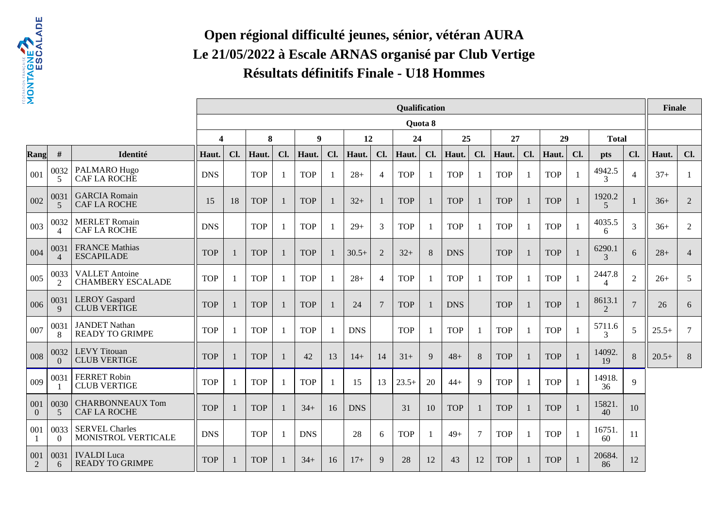

# **Open régional difficulté jeunes, sénior, vétéran AURA Le 21/05/2022 à Escale ARNAS organisé par Club VertigeRésultats définitifs Finale - U18 Hommes**

| 2               |                                  |                                                   |                         |     |            |                |            |     |            |                | Qualification |         |            |                |            |     |            |              |                         |                | <b>Finale</b> |                 |
|-----------------|----------------------------------|---------------------------------------------------|-------------------------|-----|------------|----------------|------------|-----|------------|----------------|---------------|---------|------------|----------------|------------|-----|------------|--------------|-------------------------|----------------|---------------|-----------------|
|                 |                                  |                                                   |                         |     |            |                |            |     |            |                |               | Quota 8 |            |                |            |     |            |              |                         |                |               |                 |
|                 |                                  |                                                   | $\overline{\mathbf{4}}$ |     | 8          |                | 9          |     | 12         |                | 24            |         | 25         |                | 27         |     | 29         |              | <b>Total</b>            |                |               |                 |
| Rang            | #                                | Identité                                          | Haut.                   | Cl. | Haut.      | Cl.            | Haut.      | Cl. | Haut.      | Cl.            | Haut.         | Cl.     | Haut.      | Cl.            | Haut.      | Cl. | Haut.      | Cl.          | <b>pts</b>              | Cl.            | Haut.         | Cl.             |
| 001             | 0032<br>5                        | PALMARO Hugo<br>CAF LA ROCHE                      | <b>DNS</b>              |     | <b>TOP</b> | $\overline{1}$ | <b>TOP</b> |     | $28+$      | $\overline{4}$ | <b>TOP</b>    |         | <b>TOP</b> | -1             | <b>TOP</b> |     | <b>TOP</b> | -1           | 4942.5<br>3             | $\overline{4}$ | $37+$         | -1              |
| 002             | 0031<br>5                        | <b>GARCIA</b> Romain<br><b>CAF LA ROCHE</b>       | 15                      | 18  | <b>TOP</b> |                | <b>TOP</b> |     | $32+$      | -1             | <b>TOP</b>    |         | <b>TOP</b> | 1              | <b>TOP</b> |     | <b>TOP</b> | $\mathbf{1}$ | 1920.2<br>5             |                | $36+$         | $\overline{2}$  |
| 003             | 0032<br>$\boldsymbol{\varDelta}$ | <b>MERLET</b> Romain<br><b>CAF LA ROCHE</b>       | <b>DNS</b>              |     | <b>TOP</b> |                | <b>TOP</b> |     | $29+$      | 3              | <b>TOP</b>    |         | <b>TOP</b> | -1             | <b>TOP</b> |     | <b>TOP</b> | 1            | 4035.5<br>6             | 3              | $36+$         | $\overline{2}$  |
| 004             | 0031<br>$\overline{4}$           | <b>FRANCE Mathias</b><br><b>ESCAPILADE</b>        | <b>TOP</b>              |     | <b>TOP</b> |                | <b>TOP</b> |     | $30.5+$    | 2              | $32+$         | 8       | <b>DNS</b> |                | <b>TOP</b> |     | <b>TOP</b> | $\mathbf{1}$ | 6290.1<br>$\mathcal{R}$ | 6              | $28+$         | $\overline{4}$  |
| 005             | 0033<br>2                        | <b>VALLET</b> Antoine<br><b>CHAMBERY ESCALADE</b> | <b>TOP</b>              |     | <b>TOP</b> |                | <b>TOP</b> |     | $28+$      | $\overline{4}$ | <b>TOP</b>    |         | <b>TOP</b> | $\overline{1}$ | <b>TOP</b> |     | <b>TOP</b> | 1            | 2447.8<br>4             | $\overline{2}$ | $26+$         | 5               |
| 006             | 0031<br>9                        | <b>LEROY</b> Gaspard<br><b>CLUB VERTIGE</b>       | <b>TOP</b>              |     | <b>TOP</b> |                | <b>TOP</b> |     | 24         | $\overline{7}$ | <b>TOP</b>    |         | <b>DNS</b> |                | <b>TOP</b> |     | <b>TOP</b> | $\mathbf{1}$ | 8613.1<br>2             | $\overline{7}$ | 26            | 6               |
| 007             | 0031<br>8                        | <b>JANDET Nathan</b><br><b>READY TO GRIMPE</b>    | <b>TOP</b>              |     | <b>TOP</b> |                | <b>TOP</b> |     | <b>DNS</b> |                | <b>TOP</b>    |         | <b>TOP</b> | -1             | <b>TOP</b> |     | <b>TOP</b> | $\mathbf{1}$ | 5711.6<br>3             | 5              | $25.5+$       | $7\phantom{.0}$ |
| 008             | 0032<br>$\Omega$                 | <b>LEVY</b> Titouan<br><b>CLUB VERTIGE</b>        | <b>TOP</b>              |     | <b>TOP</b> |                | 42         | 13  | $14+$      | 14             | $31+$         | 9       | $48+$      | $8\phantom{1}$ | <b>TOP</b> |     | <b>TOP</b> | $\mathbf{1}$ | 14092.<br>19            | 8              | $20.5+$       | $\, 8$          |
| 009             | 0031                             | <b>FERRET Robin</b><br><b>CLUB VERTIGE</b>        | <b>TOP</b>              | 1   | <b>TOP</b> | - 1            | <b>TOP</b> |     | 15         | 13             | $23.5+$       | 20      | $44+$      | 9              | <b>TOP</b> |     | <b>TOP</b> | $\mathbf{1}$ | 14918.<br>36            | $\mathbf Q$    |               |                 |
| 001<br>$\Omega$ | 0030<br>5                        | <b>CHARBONNEAUX Tom</b><br><b>CAF LA ROCHE</b>    | <b>TOP</b>              |     | <b>TOP</b> |                | $34+$      | 16  | <b>DNS</b> |                | 31            | 10      | <b>TOP</b> | 1              | <b>TOP</b> |     | <b>TOP</b> | $\mathbf{1}$ | 15821<br>40             | 10             |               |                 |
| 001             | 0033<br>$\theta$                 | <b>SERVEL Charles</b><br>MONISTROL VERTICALE      | <b>DNS</b>              |     | <b>TOP</b> | $\overline{1}$ | <b>DNS</b> |     | 28         | 6              | <b>TOP</b>    |         | $49+$      | $\tau$         | <b>TOP</b> |     | <b>TOP</b> | 1            | 16751<br>60             | 11             |               |                 |
| 001<br>2        | 0031<br>6                        | <b>IVALDI</b> Luca<br><b>READY TO GRIMPE</b>      | <b>TOP</b>              |     | <b>TOP</b> |                | $34+$      | 16  | $17+$      | 9              | 28            | 12      | 43         | 12             | <b>TOP</b> |     | <b>TOP</b> |              | 20684.<br>86            | 12             |               |                 |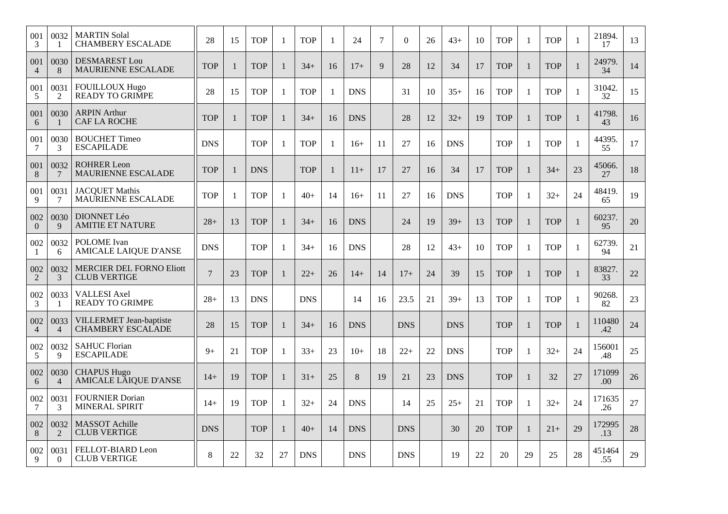| 001<br>3               | 0032<br>-1             | <b>MARTIN Solal</b><br><b>CHAMBERY ESCALADE</b>        | 28             | 15           | <b>TOP</b> | $\mathbf{1}$ | <b>TOP</b> | 1            | 24         | $7\phantom{.0}$ | $\Omega$   | 26 | $43+$      | 10 | <b>TOP</b> | $\mathbf{1}$ | <b>TOP</b> |              | 21894.<br>17   | 13 |
|------------------------|------------------------|--------------------------------------------------------|----------------|--------------|------------|--------------|------------|--------------|------------|-----------------|------------|----|------------|----|------------|--------------|------------|--------------|----------------|----|
| 001<br>4               | 0030<br>8              | <b>DESMAREST Lou</b><br><b>MAURIENNE ESCALADE</b>      | <b>TOP</b>     | $\mathbf{1}$ | <b>TOP</b> | $\mathbf{1}$ | $34+$      | 16           | $17+$      | 9               | 28         | 12 | 34         | 17 | <b>TOP</b> |              | <b>TOP</b> |              | 24979.<br>34   | 14 |
| 001<br>5               | 0031<br>$\sqrt{2}$     | <b>FOUILLOUX Hugo</b><br><b>READY TO GRIMPE</b>        | 28             | 15           | <b>TOP</b> | $\mathbf{1}$ | <b>TOP</b> | $\mathbf{1}$ | <b>DNS</b> |                 | 31         | 10 | $35+$      | 16 | <b>TOP</b> | $\mathbf{1}$ | <b>TOP</b> | -1           | 31042.<br>32   | 15 |
| 001<br>6               | 0030                   | <b>ARPIN Arthur</b><br><b>CAF LA ROCHE</b>             | <b>TOP</b>     | $\mathbf{1}$ | <b>TOP</b> | $\mathbf{1}$ | $34+$      | 16           | <b>DNS</b> |                 | 28         | 12 | $32+$      | 19 | <b>TOP</b> |              | <b>TOP</b> |              | 41798.<br>43   | 16 |
| 001<br>7               | 0030<br>3              | <b>BOUCHET Timeo</b><br><b>ESCAPILADE</b>              | <b>DNS</b>     |              | <b>TOP</b> | 1            | <b>TOP</b> | $\mathbf{1}$ | $16+$      | 11              | 27         | 16 | <b>DNS</b> |    | <b>TOP</b> | $\mathbf{1}$ | <b>TOP</b> | 1            | 44395.<br>55   | 17 |
| 001<br>8               | 0032<br>7              | <b>ROHRER Leon</b><br>MAURIENNE ESCALADE               | <b>TOP</b>     | 1            | <b>DNS</b> |              | <b>TOP</b> | $\mathbf{1}$ | $11+$      | 17              | 27         | 16 | 34         | 17 | <b>TOP</b> |              | $34+$      | 23           | 45066.<br>27   | 18 |
| 001<br>9               | 0031<br>7              | <b>JACQUET Mathis</b><br>MAURIENNE ESCALADE            | <b>TOP</b>     | 1            | <b>TOP</b> | $\mathbf{1}$ | $40+$      | 14           | $16+$      | 11              | 27         | 16 | <b>DNS</b> |    | <b>TOP</b> | $\mathbf{1}$ | $32+$      | 24           | 48419.<br>65   | 19 |
| 002<br>$\overline{0}$  | 0030<br>9              | DIONNET Léo<br><b>AMITIE ET NATURE</b>                 | $28+$          | 13           | <b>TOP</b> | $\mathbf{1}$ | $34+$      | 16           | <b>DNS</b> |                 | 24         | 19 | $39+$      | 13 | <b>TOP</b> |              | <b>TOP</b> |              | 60237.<br>95   | 20 |
| 002<br>-1              | 0032<br>6              | <b>POLOME</b> Ivan<br><b>AMICALE LAIQUE D'ANSE</b>     | <b>DNS</b>     |              | <b>TOP</b> | 1            | $34+$      | 16           | <b>DNS</b> |                 | 28         | 12 | $43+$      | 10 | <b>TOP</b> | 1            | <b>TOP</b> | $\mathbf{1}$ | 62739.<br>94   | 21 |
| 002<br>$\overline{2}$  | 0032<br>3              | <b>MERCIER DEL FORNO Eliott</b><br><b>CLUB VERTIGE</b> | $\overline{7}$ | 23           | <b>TOP</b> | $\mathbf{1}$ | $22+$      | 26           | $14+$      | 14              | $17+$      | 24 | 39         | 15 | <b>TOP</b> |              | <b>TOP</b> |              | 83827.<br>33   | 22 |
| 002<br>3               | 0033                   | VALLESI Axel<br><b>READY TO GRIMPE</b>                 | $28+$          | 13           | <b>DNS</b> |              | <b>DNS</b> |              | 14         | 16              | 23.5       | 21 | $39+$      | 13 | <b>TOP</b> |              | <b>TOP</b> |              | 90268.<br>82   | 23 |
| 002<br>$\overline{4}$  | 0033<br>$\overline{4}$ | VILLERMET Jean-baptiste<br><b>CHAMBERY ESCALADE</b>    | 28             | 15           | <b>TOP</b> | $\mathbf{1}$ | $34+$      | 16           | <b>DNS</b> |                 | <b>DNS</b> |    | <b>DNS</b> |    | <b>TOP</b> |              | <b>TOP</b> |              | 110480<br>.42  | 24 |
| 002<br>$5\overline{)}$ | 0032<br>9              | <b>SAHUC Florian</b><br><b>ESCAPILADE</b>              | $9+$           | 21           | <b>TOP</b> | 1            | $33+$      | 23           | $10+$      | 18              | $22+$      | 22 | <b>DNS</b> |    | <b>TOP</b> | $\mathbf{1}$ | $32+$      | 24           | 156001<br>.48  | 25 |
| 002<br>6               | 0030<br>$\overline{4}$ | <b>CHAPUS Hugo</b><br><b>AMICALE LAIQUE D'ANSE</b>     | $14+$          | 19           | <b>TOP</b> | $\mathbf{1}$ | $31+$      | 25           | $8\,$      | 19              | 21         | 23 | <b>DNS</b> |    | <b>TOP</b> |              | 32         | 27           | 171099<br>.00. | 26 |
| 002<br>7               | 0031<br>3              | <b>FOURNIER Dorian</b><br><b>MINERAL SPIRIT</b>        | $14+$          | 19           | <b>TOP</b> | $\mathbf{1}$ | $32+$      | 24           | <b>DNS</b> |                 | 14         | 25 | $25+$      | 21 | <b>TOP</b> | -1           | $32+$      | 24           | 171635<br>.26  | 27 |
| 002<br>8               | 0032<br>$\overline{2}$ | <b>MASSOT</b> Achille<br><b>CLUB VERTIGE</b>           | <b>DNS</b>     |              | <b>TOP</b> | $\mathbf{1}$ | $40+$      | 14           | <b>DNS</b> |                 | <b>DNS</b> |    | 30         | 20 | <b>TOP</b> |              | $21+$      | 29           | 172995<br>.13  | 28 |
| 002<br>9               | 0031<br>$\overline{0}$ | FELLOT-BIARD Leon<br><b>CLUB VERTIGE</b>               | 8              | 22           | 32         | 27           | <b>DNS</b> |              | <b>DNS</b> |                 | <b>DNS</b> |    | 19         | 22 | 20         | 29           | 25         | 28           | 451464<br>.55  | 29 |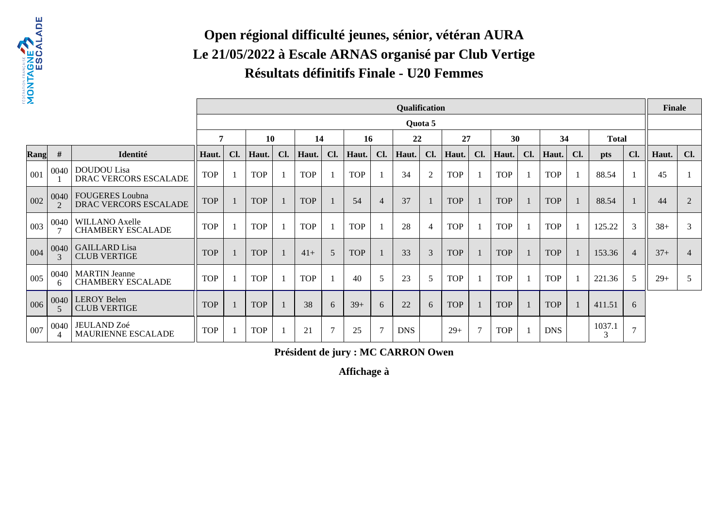

#### **Open régional difficulté jeunes, sénior, vétéran AURA Le 21/05/2022 à Escale ARNAS organisé par Club VertigeRésultats définitifs Finale - U20 Femmes**

| Σ           |           |                                                        |            |     |            |     |            |                |            |                | Qualification |         |            |                |            |     |            |     |              |                | <b>Finale</b> |                |
|-------------|-----------|--------------------------------------------------------|------------|-----|------------|-----|------------|----------------|------------|----------------|---------------|---------|------------|----------------|------------|-----|------------|-----|--------------|----------------|---------------|----------------|
|             |           |                                                        |            |     |            |     |            |                |            |                |               | Quota 5 |            |                |            |     |            |     |              |                |               |                |
|             |           |                                                        | 7          |     | 10         |     | 14         |                | <b>16</b>  |                | 22            |         | 27         |                | 30         |     | 34         |     | <b>Total</b> |                |               |                |
| <b>Rang</b> | #         | Identité                                               | Haut.      | Cl. | Haut.      | Cl. | Haut.      | Cl.            | Haut.      | Cl.            | Haut.         | Cl.     | Haut.      | Cl.            | Haut.      | Cl. | Haut.      | Cl. | pts          | Cl.            | Haut.         | Cl.            |
| 001         | 0040      | <b>DOUDOU</b> Lisa<br><b>DRAC VERCORS ESCALADE</b>     | <b>TOP</b> |     | <b>TOP</b> |     | <b>TOP</b> |                | <b>TOP</b> |                | 34            | 2       | <b>TOP</b> |                | <b>TOP</b> |     | <b>TOP</b> |     | 88.54        |                | 45            |                |
| 002         | 0040      | <b>FOUGERES</b> Loubna<br><b>DRAC VERCORS ESCALADE</b> | <b>TOP</b> |     | <b>TOP</b> |     | <b>TOP</b> |                | 54         | $\overline{4}$ | 37            |         | <b>TOP</b> |                | <b>TOP</b> |     | <b>TOP</b> |     | 88.54        |                | 44            | 2              |
| 003         | 0040      | <b>WILLANO Axelle</b><br><b>CHAMBERY ESCALADE</b>      | <b>TOP</b> |     | <b>TOP</b> |     | <b>TOP</b> |                | <b>TOP</b> |                | 28            | 4       | <b>TOP</b> |                | <b>TOP</b> |     | <b>TOP</b> |     | 125.22       | 3              | $38+$         | 3              |
| 004         | 0040      | <b>GAILLARD</b> Lisa<br><b>CLUB VERTIGE</b>            | <b>TOP</b> |     | <b>TOP</b> |     | $41+$      | 5              | <b>TOP</b> |                | 33            | 3       | <b>TOP</b> |                | <b>TOP</b> |     | <b>TOP</b> |     | 153.36       | $\overline{4}$ | $37+$         | $\overline{4}$ |
| 005         | 0040<br>6 | <b>MARTIN</b> Jeanne<br><b>CHAMBERY ESCALADE</b>       | <b>TOP</b> |     | <b>TOP</b> |     | <b>TOP</b> |                | 40         | 5              | 23            | 5       | <b>TOP</b> |                | <b>TOP</b> |     | <b>TOP</b> |     | 221.36       | 5              | $29+$         | 5              |
| 006         | 0040      | <b>LEROY Belen</b><br><b>CLUB VERTIGE</b>              | <b>TOP</b> |     | <b>TOP</b> |     | 38         | 6              | $39+$      | 6              | 22            | 6       | <b>TOP</b> |                | <b>TOP</b> |     | <b>TOP</b> |     | 411.51       | 6              |               |                |
| 007         | 0040<br>4 | JEULAND Zoé<br><b>MAURIENNE ESCALADE</b>               | <b>TOP</b> |     | <b>TOP</b> |     | 21         | $\overline{7}$ | 25         | $\overline{7}$ | <b>DNS</b>    |         | $29+$      | $\overline{7}$ | <b>TOP</b> |     | <b>DNS</b> |     | 1037.1<br>3  | $\mathcal{I}$  |               |                |

**Président de jury : MC CARRON Owen**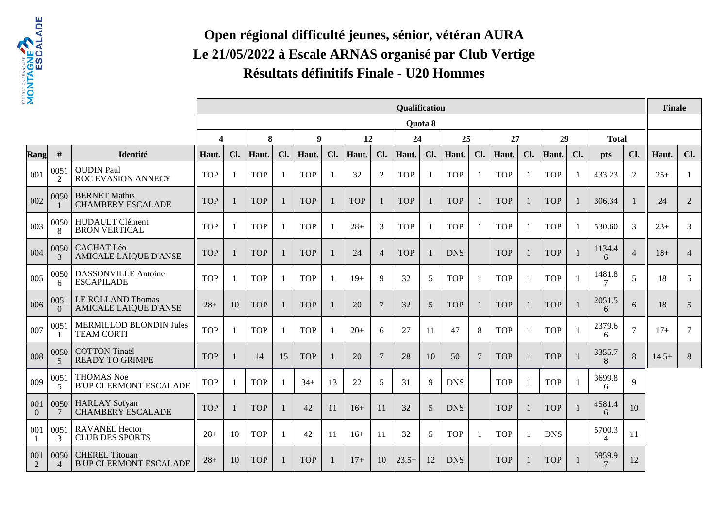

# **Open régional difficulté jeunes, sénior, vétéran AURA Le 21/05/2022 à Escale ARNAS organisé par Club VertigeRésultats définitifs Finale - U20 Hommes**

| 2               |                        |                                                        |                       |     |            |     |                  |              |            |                 | <b>Qualification</b> |         |            |                |            |     |            |              |                  |                | <b>Finale</b> |                |
|-----------------|------------------------|--------------------------------------------------------|-----------------------|-----|------------|-----|------------------|--------------|------------|-----------------|----------------------|---------|------------|----------------|------------|-----|------------|--------------|------------------|----------------|---------------|----------------|
|                 |                        |                                                        |                       |     |            |     |                  |              |            |                 |                      | Quota 8 |            |                |            |     |            |              |                  |                |               |                |
|                 |                        |                                                        | $\boldsymbol{\Delta}$ |     | 8          |     | $\boldsymbol{9}$ |              | 12         |                 | 24                   |         | 25         |                | 27         |     | 29         |              | <b>Total</b>     |                |               |                |
| Rang            | #                      | Identité                                               | Haut.                 | Cl. | Haut.      | Cl. | Haut.            | Cl.          | Haut.      | Cl.             | Haut.                | Cl.     | Haut.      | Cl.            | Haut.      | Cl. | Haut.      | Cl.          | <b>pts</b>       | Cl.            | Haut.         | Cl.            |
| 001             | 0051<br>$\overline{2}$ | <b>OUDIN Paul</b><br>ROC EVASION ANNECY                | <b>TOP</b>            | 1   | <b>TOP</b> | - 1 | <b>TOP</b>       |              | 32         | $\overline{2}$  | <b>TOP</b>           |         | <b>TOP</b> | -1             | <b>TOP</b> |     | <b>TOP</b> | $\mathbf{1}$ | 433.23           | $\overline{2}$ | $25+$         | -1             |
| 002             | 0050                   | <b>BERNET Mathis</b><br><b>CHAMBERY ESCALADE</b>       | <b>TOP</b>            |     | <b>TOP</b> |     | <b>TOP</b>       |              | <b>TOP</b> | $\mathbf{1}$    | <b>TOP</b>           |         | <b>TOP</b> | 1              | <b>TOP</b> |     | <b>TOP</b> | -1           | 306.34           | -1             | 24            | 2              |
| 003             | 0050<br>8              | <b>HUDAULT Clément</b><br><b>BRON VERTICAL</b>         | <b>TOP</b>            |     | <b>TOP</b> |     | <b>TOP</b>       |              | $28+$      | 3               | <b>TOP</b>           |         | <b>TOP</b> | -1             | <b>TOP</b> |     | <b>TOP</b> |              | 530.60           | 3              | $23+$         | 3              |
| 004             | 0050<br>3              | <b>CACHAT Léo</b><br><b>AMICALE LAIQUE D'ANSE</b>      | <b>TOP</b>            |     | <b>TOP</b> |     | <b>TOP</b>       |              | 24         | $\overline{4}$  | <b>TOP</b>           |         | <b>DNS</b> |                | <b>TOP</b> |     | <b>TOP</b> | $\mathbf{1}$ | 1134.4<br>6      | $\overline{4}$ | $18+$         | $\overline{4}$ |
| 005             | 0050<br>6              | <b>DASSONVILLE Antoine</b><br><b>ESCAPILADE</b>        | <b>TOP</b>            |     | <b>TOP</b> |     | <b>TOP</b>       | $\mathbf{1}$ | $19+$      | 9               | 32                   | 5       | <b>TOP</b> | -1             | <b>TOP</b> |     | <b>TOP</b> | $\mathbf{1}$ | 1481.8<br>7      | 5              | 18            | 5              |
| 006             | 0051<br>$\overline{0}$ | LE ROLLAND Thomas<br><b>AMICALE LAIQUE D'ANSE</b>      | $28+$                 | 10  | <b>TOP</b> |     | <b>TOP</b>       |              | 20         | $7\phantom{.0}$ | 32                   | 5       | <b>TOP</b> | $\mathbf{1}$   | <b>TOP</b> |     | <b>TOP</b> | $\mathbf{1}$ | 2051.5<br>6      | 6              | 18            | 5              |
| 007             | 0051                   | MERMILLOD BLONDIN Jules<br><b>TEAM CORTI</b>           | <b>TOP</b>            |     | <b>TOP</b> |     | <b>TOP</b>       |              | $20+$      | 6               | 27                   | 11      | 47         | 8              | <b>TOP</b> |     | <b>TOP</b> |              | 2379.6<br>6      | $\overline{7}$ | $17+$         | $\overline{7}$ |
| 008             | 0050<br>5              | <b>COTTON Tinaël</b><br><b>READY TO GRIMPE</b>         | <b>TOP</b>            |     | 14         | 15  | <b>TOP</b>       |              | 20         | 7               | 28                   | 10      | 50         | $\overline{7}$ | <b>TOP</b> |     | <b>TOP</b> |              | 3355.7<br>8      | 8              | $14.5+$       | $8\phantom{1}$ |
| 009             | 0051<br>5              | <b>THOMAS Noe</b><br><b>B'UP CLERMONT ESCALADE</b>     | <b>TOP</b>            | -1  | <b>TOP</b> |     | $34+$            | 13           | 22         | 5               | 31                   | 9       | <b>DNS</b> |                | <b>TOP</b> |     | <b>TOP</b> | -1           | 3699.8<br>6      | 9              |               |                |
| 001<br>$\Omega$ | 0050<br>7              | <b>HARLAY</b> Sofyan<br><b>CHAMBERY ESCALADE</b>       | <b>TOP</b>            |     | <b>TOP</b> |     | 42               | 11           | $16+$      | 11              | 32                   | 5       | <b>DNS</b> |                | <b>TOP</b> |     | <b>TOP</b> | -1           | 4581.4<br>6      | 10             |               |                |
| 001             | 0051<br>3              | <b>RAVANEL Hector</b><br><b>CLUB DES SPORTS</b>        | $28+$                 | 10  | <b>TOP</b> |     | 42               | 11           | $16+$      | 11              | 32                   | 5       | <b>TOP</b> | -1             | <b>TOP</b> |     | <b>DNS</b> |              | 5700.3<br>4      | 11             |               |                |
| 001<br>2        | 0050<br>$\Delta$       | <b>CHEREL Titouan</b><br><b>B'UP CLERMONT ESCALADE</b> | $28+$                 | 10  | <b>TOP</b> |     | <b>TOP</b>       |              | $17+$      | 10              | $23.5+$              | 12      | <b>DNS</b> |                | <b>TOP</b> |     | <b>TOP</b> |              | 5959.9<br>$\tau$ | 12             |               |                |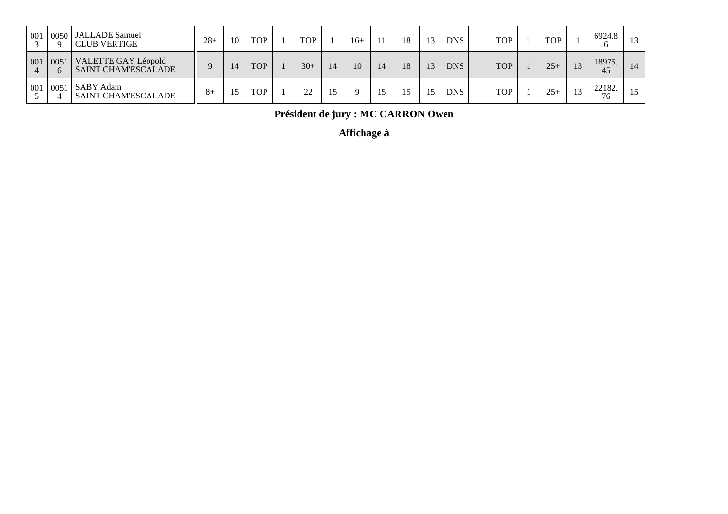| 001 | 0050<br>Q        | JALLADE Samuel<br><b>CLUB VERTIGE</b>             | $28+$ | 10 | <b>TOP</b> | <b>TOP</b> | 16+ | 18 | 13 | <b>DNS</b> | <b>TOP</b> | <b>TOP</b> |             | 6924.8<br>o  |    |
|-----|------------------|---------------------------------------------------|-------|----|------------|------------|-----|----|----|------------|------------|------------|-------------|--------------|----|
| 001 | 0051<br>$\sigma$ | VALETTE GAY Léopold<br><b>SAINT CHAM'ESCALADE</b> |       | 14 | <b>TOP</b> | $30+$      | 10  | 18 | 13 | <b>DNS</b> | <b>TOP</b> | $25+$      | 12          | 18975.<br>45 | 14 |
| 001 | 0051             | SABY Adam<br><b>SAINT CHAM'ESCALADE</b>           | $8+$  |    | <b>TOP</b> | 22         |     |    | 15 | <b>DNS</b> | <b>TOP</b> | $25+$      | $1^{\circ}$ | 22182.<br>76 | 15 |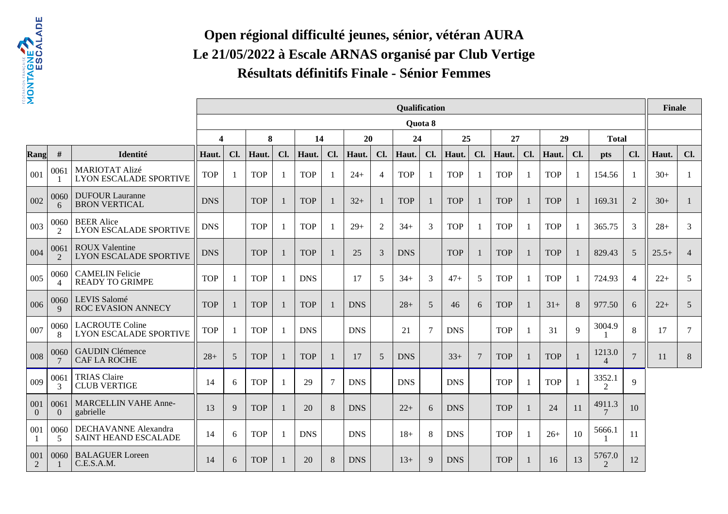

# **Open régional difficulté jeunes, sénior, vétéran AURA Le 21/05/2022 à Escale ARNAS organisé par Club VertigeRésultats définitifs Finale - Sénior Femmes**

| 2                    |                       |                                                         |                         |                |            |     |            |     |            |                | Qualification |         |            |                 |            |     |            |              |                          |                | <b>Finale</b> |                |
|----------------------|-----------------------|---------------------------------------------------------|-------------------------|----------------|------------|-----|------------|-----|------------|----------------|---------------|---------|------------|-----------------|------------|-----|------------|--------------|--------------------------|----------------|---------------|----------------|
|                      |                       |                                                         |                         |                |            |     |            |     |            |                |               | Quota 8 |            |                 |            |     |            |              |                          |                |               |                |
|                      |                       |                                                         | $\overline{\mathbf{4}}$ |                | 8          |     | 14         |     | 20         |                | 24            |         | 25         |                 | 27         |     | 29         |              | <b>Total</b>             |                |               |                |
| Rang                 | #                     | Identité                                                | Haut.                   | Cl.            | Haut.      | Cl. | Haut.      | Cl. | Haut.      | Cl.            | Haut.         | Cl.     | Haut.      | Cl.             | Haut.      | Cl. | Haut.      | Cl.          | <b>pts</b>               | Cl.            | Haut.         | Cl.            |
| 001                  | 0061                  | MARIOTAT Alizé<br><b>LYON ESCALADE SPORTIVE</b>         | <b>TOP</b>              | -1             | <b>TOP</b> | -1  | <b>TOP</b> | -1  | $24+$      | $\overline{4}$ | <b>TOP</b>    |         | <b>TOP</b> | $\overline{1}$  | <b>TOP</b> |     | <b>TOP</b> | -1           | 154.56                   | $\overline{1}$ | $30+$         | -1             |
| 002                  | 0060<br>6             | <b>DUFOUR Lauranne</b><br><b>BRON VERTICAL</b>          | <b>DNS</b>              |                | <b>TOP</b> |     | <b>TOP</b> |     | $32+$      | $\mathbf{1}$   | <b>TOP</b>    |         | <b>TOP</b> | 1               | <b>TOP</b> |     | <b>TOP</b> | $\mathbf{1}$ | 169.31                   | 2              | $30+$         | -1             |
| 003                  | 0060<br>2             | <b>BEER</b> Alice<br><b>LYON ESCALADE SPORTIVE</b>      | <b>DNS</b>              |                | <b>TOP</b> |     | <b>TOP</b> |     | $29+$      | 2              | $34+$         | 3       | <b>TOP</b> | 1               | <b>TOP</b> |     | <b>TOP</b> |              | 365.75                   | 3              | $28+$         | 3              |
| 004                  | 0061<br>$\mathcal{L}$ | <b>ROUX Valentine</b><br><b>LYON ESCALADE SPORTIVE</b>  | <b>DNS</b>              |                | <b>TOP</b> |     | <b>TOP</b> | -1  | 25         | 3              | <b>DNS</b>    |         | <b>TOP</b> | $\mathbf{1}$    | <b>TOP</b> |     | <b>TOP</b> |              | 829.43                   | 5              | $25.5+$       | $\overline{4}$ |
| 005                  | 0060<br>4             | <b>CAMELIN Felicie</b><br><b>READY TO GRIMPE</b>        | <b>TOP</b>              |                | <b>TOP</b> |     | <b>DNS</b> |     | 17         | 5              | $34+$         | 3       | $47+$      | 5               | <b>TOP</b> |     | <b>TOP</b> | -1           | 724.93                   | $\overline{4}$ | $22+$         | 5              |
| 006                  | 0060<br>9             | LEVIS Salomé<br>ROC EVASION ANNECY                      | <b>TOP</b>              |                | <b>TOP</b> |     | <b>TOP</b> |     | <b>DNS</b> |                | $28+$         | 5       | 46         | 6               | <b>TOP</b> |     | $31+$      | 8            | 977.50                   | 6              | $22+$         | 5              |
| 007                  | 0060<br>8             | <b>LACROUTE Coline</b><br><b>LYON ESCALADE SPORTIVE</b> | <b>TOP</b>              |                | <b>TOP</b> |     | <b>DNS</b> |     | <b>DNS</b> |                | 21            | 7       | <b>DNS</b> |                 | <b>TOP</b> |     | 31         | 9            | 3004.9                   | 8              | 17            | $\overline{7}$ |
| 008                  | 0060                  | <b>GAUDIN Clémence</b><br><b>CAF LA ROCHE</b>           | $28+$                   | $\overline{5}$ | <b>TOP</b> |     | <b>TOP</b> |     | 17         | 5              | <b>DNS</b>    |         | $33+$      | $7\phantom{.0}$ | <b>TOP</b> |     | <b>TOP</b> |              | 1213.0<br>$\overline{4}$ | $\overline{7}$ | 11            | 8              |
| 009                  | 0061<br>3             | <b>TRIAS Claire</b><br><b>CLUB VERTIGE</b>              | 14                      | 6              | <b>TOP</b> |     | 29         | 7   | <b>DNS</b> |                | <b>DNS</b>    |         | <b>DNS</b> |                 | <b>TOP</b> |     | <b>TOP</b> |              | 3352.1<br>2              | $\mathbf Q$    |               |                |
| 001<br>$\Omega$      | 0061<br>$\Omega$      | <b>MARCELLIN VAHE Anne-</b><br>gabrielle                | 13                      | 9              | <b>TOP</b> |     | 20         | 8   | <b>DNS</b> |                | $22+$         | 6       | <b>DNS</b> |                 | <b>TOP</b> |     | 24         | 11           | 4911.3                   | 10             |               |                |
| 001                  | 0060<br>5             | DECHAVANNE Alexandra<br><b>SAINT HEAND ESCALADE</b>     | 14                      | 6              | <b>TOP</b> | -1  | <b>DNS</b> |     | <b>DNS</b> |                | $18+$         | 8       | <b>DNS</b> |                 | <b>TOP</b> |     | $26+$      | 10           | 5666.1                   | 11             |               |                |
| 001<br>$\mathcal{L}$ | 0060                  | <b>BALAGUER Loreen</b><br>C.E.S.A.M.                    | 14                      | 6              | <b>TOP</b> |     | 20         | 8   | <b>DNS</b> |                | $13+$         | 9       | <b>DNS</b> |                 | <b>TOP</b> |     | 16         | 13           | 5767.0<br>$\mathfrak{D}$ | 12             |               |                |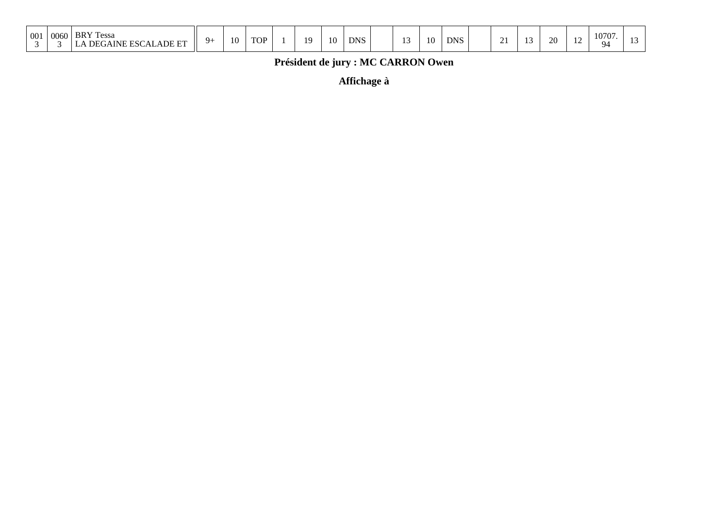| 001 | 0060 | <b>BRY</b> Te<br>Tessa<br>DEGAINE ESCALADE ET | $Q_{\perp}$ | 10 | <b>TOP</b> |  | 10 | 10 | <b>DNS</b> |  | $\sim$ | 10 | <b>DNS</b> |  | $\overline{u}$ |  | ററ<br>∠∪ | -- | 10707.<br>$Q_{\Delta}$ |  |
|-----|------|-----------------------------------------------|-------------|----|------------|--|----|----|------------|--|--------|----|------------|--|----------------|--|----------|----|------------------------|--|
|-----|------|-----------------------------------------------|-------------|----|------------|--|----|----|------------|--|--------|----|------------|--|----------------|--|----------|----|------------------------|--|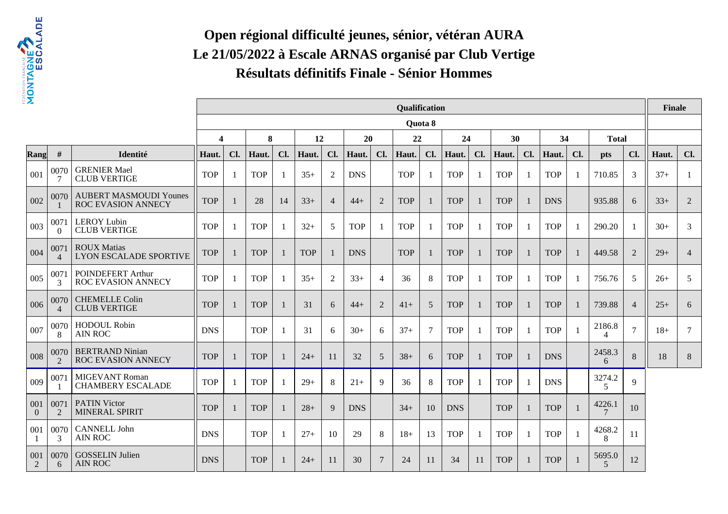

# **Open régional difficulté jeunes, sénior, vétéran AURA Le 21/05/2022 à Escale ARNAS organisé par Club VertigeRésultats définitifs Finale - Sénior Hommes**

| 2               |                        |                                                     |                         |              |            |                |            |                |            |                | Qualification |         |            |                |            |     |            |              |                          |                | <b>Finale</b> |                |
|-----------------|------------------------|-----------------------------------------------------|-------------------------|--------------|------------|----------------|------------|----------------|------------|----------------|---------------|---------|------------|----------------|------------|-----|------------|--------------|--------------------------|----------------|---------------|----------------|
|                 |                        |                                                     |                         |              |            |                |            |                |            |                |               | Quota 8 |            |                |            |     |            |              |                          |                |               |                |
|                 |                        |                                                     | $\overline{\mathbf{4}}$ |              | 8          |                | 12         |                | 20         |                | 22            |         | 24         |                | 30         |     | 34         |              | <b>Total</b>             |                |               |                |
| Rang            | #                      | Identité                                            | Haut.                   | Cl.          | Haut.      | Cl.            | Haut.      | Cl.            | Haut.      | Cl.            | Haut.         | Cl.     | Haut.      | Cl.            | Haut.      | Cl. | Haut.      | Cl.          | pts                      | Cl.            | Haut.         | Cl.            |
| 001             | 0070<br>7              | <b>GRENIER Mael</b><br><b>CLUB VERTIGE</b>          | <b>TOP</b>              | 1            | <b>TOP</b> | -1             | $35+$      | 2              | <b>DNS</b> |                | <b>TOP</b>    |         | <b>TOP</b> | -1             | <b>TOP</b> |     | <b>TOP</b> | -1           | 710.85                   | 3              | $37+$         | -1             |
| 002             | 0070                   | <b>AUBERT MASMOUDI Younes</b><br>ROC EVASION ANNECY | <b>TOP</b>              |              | 28         | 14             | $33+$      | $\overline{4}$ | $44+$      | 2              | <b>TOP</b>    |         | <b>TOP</b> | $\overline{1}$ | <b>TOP</b> |     | <b>DNS</b> |              | 935.88                   | 6              | $33+$         | 2              |
| 003             | 0071<br>$\Omega$       | <b>LEROY Lubin</b><br><b>CLUB VERTIGE</b>           | <b>TOP</b>              |              | <b>TOP</b> | -1             | $32+$      | 5              | <b>TOP</b> | -1             | <b>TOP</b>    |         | <b>TOP</b> | -1             | <b>TOP</b> |     | <b>TOP</b> |              | 290.20                   |                | $30+$         | 3              |
| 004             | 0071<br>$\overline{4}$ | <b>ROUX Matias</b><br><b>LYON ESCALADE SPORTIVE</b> | <b>TOP</b>              | -1           | <b>TOP</b> | - 1            | <b>TOP</b> |                | <b>DNS</b> |                | <b>TOP</b>    |         | <b>TOP</b> | -1             | <b>TOP</b> |     | <b>TOP</b> | -1           | 449.58                   | 2              | $29+$         | $\overline{4}$ |
| 005             | 0071<br>3              | POINDEFERT Arthur<br>ROC EVASION ANNECY             | <b>TOP</b>              | 1            | <b>TOP</b> | -1             | $35+$      | 2              | $33+$      | $\overline{4}$ | 36            | 8       | <b>TOP</b> | $\mathbf{1}$   | <b>TOP</b> |     | <b>TOP</b> | -1           | 756.76                   | 5              | $26+$         | 5              |
| 006             | 0070<br>$\overline{4}$ | <b>CHEMELLE Colin</b><br><b>CLUB VERTIGE</b>        | <b>TOP</b>              | 1            | <b>TOP</b> | l.             | 31         | 6              | $44+$      | 2              | $41+$         | 5       | <b>TOP</b> | -1             | <b>TOP</b> |     | <b>TOP</b> | 1            | 739.88                   | $\overline{4}$ | $25+$         | 6              |
| 007             | 0070<br>8              | <b>HODOUL Robin</b><br><b>AIN ROC</b>               | <b>DNS</b>              |              | <b>TOP</b> | -1             | 31         | 6              | $30+$      | 6              | $37+$         | 7       | <b>TOP</b> | -1             | <b>TOP</b> |     | <b>TOP</b> | $\mathbf{1}$ | 2186.8<br>4              | $\overline{7}$ | $18+$         | 7              |
| 008             | 0070<br>$\mathcal{L}$  | <b>BERTRAND Ninian</b><br><b>ROC EVASION ANNECY</b> | <b>TOP</b>              | -1           | <b>TOP</b> |                | $24+$      | 11             | 32         | $\overline{5}$ | $38+$         | 6       | <b>TOP</b> | $\mathbf{1}$   | <b>TOP</b> |     | <b>DNS</b> |              | 2458.3<br>6              | 8              | 18            | 8              |
| 009             | 0071                   | <b>MIGEVANT Roman</b><br><b>CHAMBERY ESCALADE</b>   | <b>TOP</b>              | 1            | <b>TOP</b> | -1             | $29+$      | 8              | $21+$      | 9              | 36            | 8       | <b>TOP</b> | -1             | <b>TOP</b> |     | <b>DNS</b> |              | 3274.2<br>5              | 9              |               |                |
| 001<br>$\Omega$ | 0071<br>$\mathcal{L}$  | <b>PATIN Victor</b><br>MINERAL SPIRIT               | <b>TOP</b>              | $\mathbf{1}$ | <b>TOP</b> | $\blacksquare$ | $28+$      | 9              | <b>DNS</b> |                | $34+$         | 10      | <b>DNS</b> |                | <b>TOP</b> |     | <b>TOP</b> | 1            | 4226.1<br>$\overline{7}$ | 10             |               |                |
| 001             | 0070<br>3              | <b>CANNELL John</b><br><b>AIN ROC</b>               | <b>DNS</b>              |              | <b>TOP</b> | -1             | $27+$      | 10             | 29         | 8              | $18+$         | 13      | <b>TOP</b> | -1             | <b>TOP</b> |     | <b>TOP</b> | -1           | 4268.2<br>8              | 11             |               |                |
| 001<br>2        | 0070<br>6              | <b>GOSSELIN Julien</b><br><b>AIN ROC</b>            | <b>DNS</b>              |              | <b>TOP</b> |                | $24+$      | 11             | 30         | $\overline{7}$ | 24            | 11      | 34         | 11             | <b>TOP</b> |     | <b>TOP</b> |              | 5695.0<br>$\overline{5}$ | 12             |               |                |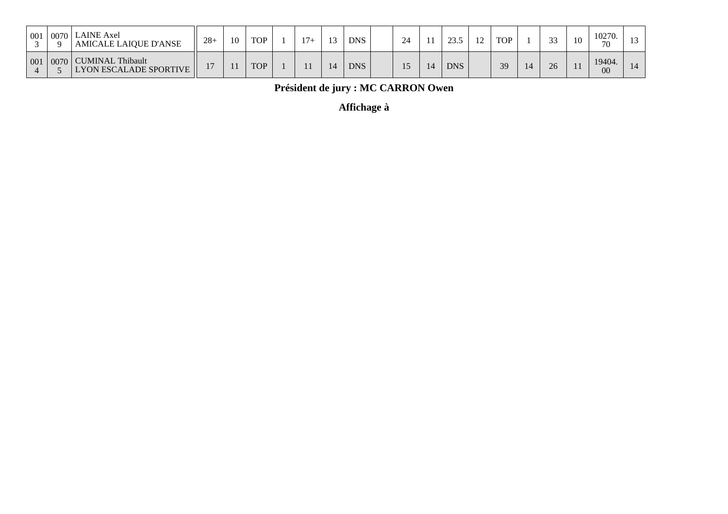| 001 | 0070<br>$\Omega$ | LAINE Axel<br><b>AMICALE LAIQUE D'ANSE</b>        | $28 +$                   | 10 | <b>TOP</b> | $17+$ | $\sim$     | <b>DNS</b> | 24 | 235        | $\sim$ | <b>TOP</b> | $\bigcap$ | -10 | 10270.<br>70 |  |
|-----|------------------|---------------------------------------------------|--------------------------|----|------------|-------|------------|------------|----|------------|--------|------------|-----------|-----|--------------|--|
| 001 | 0070             | CUMINAL Thibault<br><b>LYON ESCALADE SPORTIVE</b> | $\overline{\phantom{a}}$ |    | <b>TOP</b> |       | $\sqrt{4}$ | <b>DNS</b> |    | <b>DNS</b> |        | 39         | 26        |     | 19404.<br>00 |  |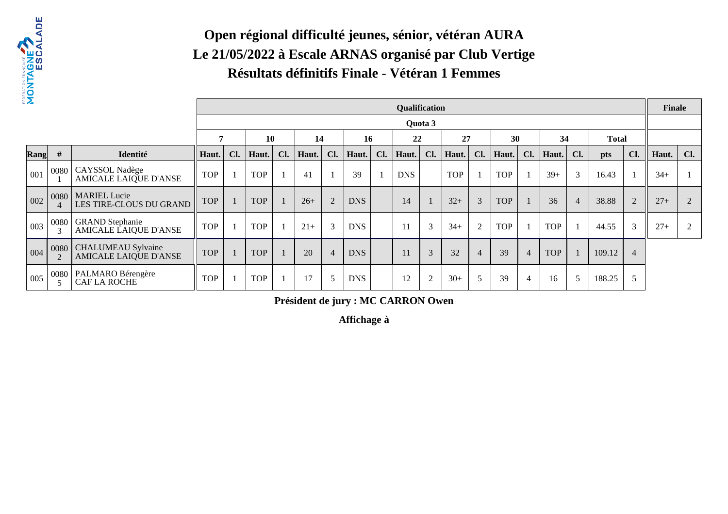

#### **Open régional difficulté jeunes, sénior, vétéran AURA Le 21/05/2022 à Escale ARNAS organisé par Club VertigeRésultats définitifs Finale - Vétéran 1 Femmes**

| Σ    |           |                                                    |            |     |            |     |       |                |            |     | Qualification |               |            |                 |            |                |            |                |              |                | <b>Finale</b> |     |
|------|-----------|----------------------------------------------------|------------|-----|------------|-----|-------|----------------|------------|-----|---------------|---------------|------------|-----------------|------------|----------------|------------|----------------|--------------|----------------|---------------|-----|
|      |           |                                                    |            |     |            |     |       |                |            |     |               | Quota 3       |            |                 |            |                |            |                |              |                |               |     |
|      |           |                                                    |            |     | <b>10</b>  |     | 14    |                | 16         |     | 22            |               | 27         |                 | 30         |                | 34         |                | <b>Total</b> |                |               |     |
| Rang | #         | Identité                                           | Haut.      | Cl. | Haut.      | Cl. | Haut. | Cl.            | Haut.      | Cl. | Haut.         | Cl.           | Haut.      | Cl.             | Haut.      | Cl.            | Haut.      | Cl.            | pts          | Cl.            | Haut.         | Cl. |
| 001  |           | 0080   CAYSSOL Nadège<br>AMICALE LAIQUE D'ANSE     | <b>TOP</b> |     | <b>TOP</b> |     | 41    |                | 39         |     | <b>DNS</b>    |               | <b>TOP</b> |                 | <b>TOP</b> |                | $39+$      | 3              | 16.43        |                | $34+$         |     |
| 002  | 0080<br>4 | MARIEL Lucie<br>LES TIRE-CLOUS DU GRAND            | <b>TOP</b> |     | <b>TOP</b> |     | $26+$ | $\overline{2}$ | <b>DNS</b> |     | 14            |               | $32+$      | 3               | <b>TOP</b> |                | 36         | $\overline{4}$ | 38.88        | $\overline{2}$ | $27+$         | 2   |
| 003  |           | 0080   GRAND Stephanie<br>AMICALE LAIQUE D'ANSE    | <b>TOP</b> |     | <b>TOP</b> |     | $21+$ | 3              | <b>DNS</b> |     | 11            | 3             | $34+$      | 2               | <b>TOP</b> |                | <b>TOP</b> |                | 44.55        | 3              | $27+$         | 2   |
| 004  | 2         | 0080   CHALUMEAU Sylvaine<br>AMICALE LAIQUE D'ANSE | <b>TOP</b> |     | <b>TOP</b> |     | 20    | $\overline{4}$ | <b>DNS</b> |     | 11            | 3             | 32         | $\overline{4}$  | 39         | $\overline{4}$ | <b>TOP</b> |                | 109.12       | $\overline{4}$ |               |     |
| 005  |           | 0080   PALMARO Bérengère<br><b>CAF LA ROCHE</b>    | <b>TOP</b> |     | <b>TOP</b> |     | 17    |                | <b>DNS</b> |     | 12            | $\mathcal{D}$ | $30+$      | $5\overline{)}$ | 39         | 4              | 16         | 5              | 188.25       | 5              |               |     |

**Président de jury : MC CARRON Owen**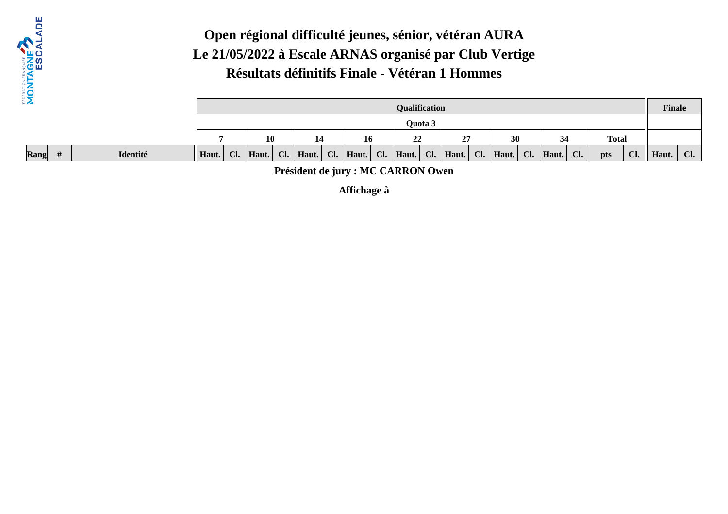

**Rang#**

#### **Open régional difficulté jeunes, sénior, vétéran AURA Le 21/05/2022 à Escale ARNAS organisé par Club VertigeRésultats définitifs Finale - Vétéran 1 Hommes**

|          |       |                                                        |       |     |       |                  |       |  | <b>Qualification</b> |         |           |  |       |  |                    |     |     |     | <b>Finale</b> |     |
|----------|-------|--------------------------------------------------------|-------|-----|-------|------------------|-------|--|----------------------|---------|-----------|--|-------|--|--------------------|-----|-----|-----|---------------|-----|
|          |       |                                                        |       |     |       |                  |       |  |                      | Ouota 3 |           |  |       |  |                    |     |     |     |               |     |
|          |       | <b>Total</b><br>27<br>10<br>22<br>30<br>34<br>14<br>16 |       |     |       |                  |       |  |                      |         |           |  |       |  |                    |     |     |     |               |     |
| Identité | Haut. | Cl.                                                    | Haut. | Cl. | Haut. | $\overline{C}$ . | Haut. |  | $Cl.$ Haut.          | Cl.     | Haut. Cl. |  | Haut. |  | $\mid$ Cl.   Haut. | Cl. | pts | Cl. | Haut.         | Cl. |

**Président de jury : MC CARRON Owen**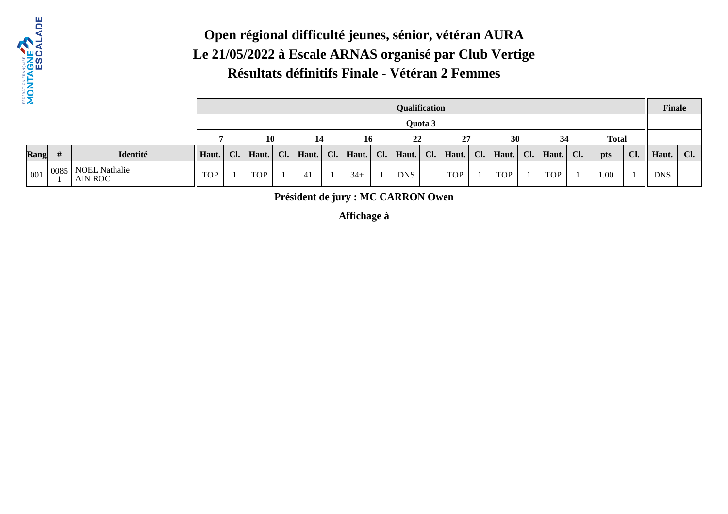

#### **Open régional difficulté jeunes, sénior, vétéran AURA Le 21/05/2022 à Escale ARNAS organisé par Club VertigeRésultats définitifs Finale - Vétéran 2 Femmes**

| $\mathbf{z}$ |      |                          |            |     |            |    |           |       |     | <b>Qualification</b> |         |               |     |            |             |     |              |     | <b>Finale</b> |     |
|--------------|------|--------------------------|------------|-----|------------|----|-----------|-------|-----|----------------------|---------|---------------|-----|------------|-------------|-----|--------------|-----|---------------|-----|
|              |      |                          |            |     |            |    |           |       |     |                      | Quota 3 |               |     |            |             |     |              |     |               |     |
|              |      |                          |            |     | 10         |    | 14        | 16    |     | 22                   |         | 27            |     | 30         | 34          |     | <b>Total</b> |     |               |     |
| Rang         |      | Identité                 | Haut.      | Cl. | Haut.      | CL | Haut. Cl. | Haut. | Cl. | Haut.                |         | $Cl.$   Haut. | Cl. | Haut.      | $Cl.$ Haut. | Cl. | pts          | Cl. | Haut.         | Cl. |
| $\vert$ 001  | 0085 | NOEL Nathalie<br>AIN ROC | <b>TOP</b> |     | <b>TOP</b> |    | 41        | $34+$ |     | <b>DNS</b>           |         | <b>TOP</b>    |     | <b>TOP</b> | <b>TOP</b>  |     | $1.00\,$     |     | <b>DNS</b>    |     |

**Président de jury : MC CARRON Owen**